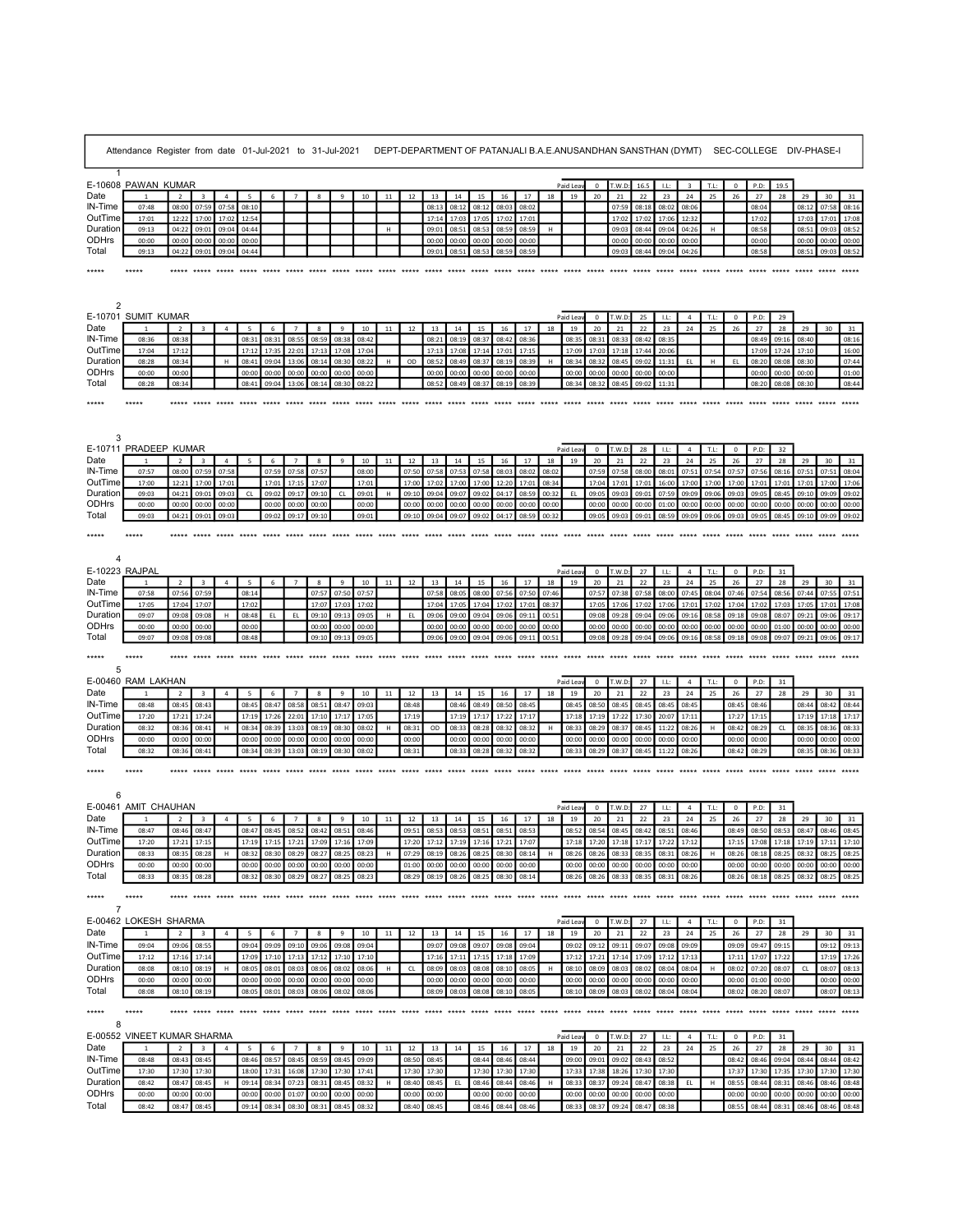|                                            | Attendance Register from date 01-Jul-2021 to 31-Jul-2021 |                         |                                        |                         |                |                                     |                         |                       |                                     |                | DEPT-DEPARTMENT OF PATANJALI B.A.E.ANUSANDHAN SANSTHAN (DYMT) SEC-COLLEGE DIV-PHASE-I |             |                                     |                |                |                |                |             |                |                                     |                |                      |                   |                |             |                |                   |                                     |                |                       |                |
|--------------------------------------------|----------------------------------------------------------|-------------------------|----------------------------------------|-------------------------|----------------|-------------------------------------|-------------------------|-----------------------|-------------------------------------|----------------|---------------------------------------------------------------------------------------|-------------|-------------------------------------|----------------|----------------|----------------|----------------|-------------|----------------|-------------------------------------|----------------|----------------------|-------------------|----------------|-------------|----------------|-------------------|-------------------------------------|----------------|-----------------------|----------------|
| $\overline{1}$                             |                                                          |                         |                                        |                         |                |                                     |                         |                       |                                     |                |                                                                                       |             |                                     |                |                |                |                |             |                |                                     |                |                      |                   |                |             |                |                   |                                     |                |                       |                |
|                                            | E-10608 PAWAN KUMAR                                      |                         |                                        |                         |                |                                     |                         |                       |                                     |                |                                                                                       |             |                                     |                |                |                |                |             | Paid Leav      |                                     | $0$ T.W.D:     | 16.5                 | $-1.1$ :          | $\overline{3}$ | T.L:        | $\Omega$       | P.D:              | 19.5                                |                |                       |                |
| Date<br>N-Time                             | 07:48                                                    | $\overline{2}$          | $\overline{\mathbf{3}}$<br>08:00 07:59 | $\overline{4}$<br>07:58 | 5<br>08:10     | 6                                   | $\overline{7}$          | 8                     | 9                                   | 10             | 11                                                                                    | 12          | 13<br>08:13                         | 14<br>08:12    | 15<br>08:12    | 16<br>08:03    | 17<br>08:02    | 18          | 19             | 20                                  | 21<br>07:59    | 22<br>08:18          | 23<br>08:02 08:06 | 24             | 25          | 26             | 27<br>08:04       | 28                                  | 29<br>08:12    | 30<br>07:58           | 31<br>08:16    |
| OutTime                                    | 17:01                                                    |                         | 12:22 17:00                            | 17:02                   | 12:54          |                                     |                         |                       |                                     |                |                                                                                       |             | 17:14                               | 17:03          | 17:05          | 17:02          | 17:01          |             |                |                                     | 17:02          | 17:02                | 17:06             | 12:32          |             |                | 17:02             |                                     | 17:03          | 17:01                 | 17:08          |
| Duration                                   | 09:13                                                    | 04:22                   | 09:01                                  | 09:04                   | 04:44          |                                     |                         |                       |                                     |                | H                                                                                     |             | 09:01                               | 08:51          | 08:53          | 08:59          | 08:59          | H           |                |                                     | 09:03          | 08:44                | 09:04             | 04:26          | H           |                | 08:58             |                                     | 08:51          | 09:03                 | 08:52          |
| ODHrs                                      | 00:00                                                    | 00:00                   | 00:00                                  | 00:00                   | 00:00          |                                     |                         |                       |                                     |                |                                                                                       |             | 00:00                               | 00:00          | 00:00          | 00:00          | 00:00          |             |                |                                     | 00:00          | 00:00                | 00:00             | 00:00          |             |                | 00:00             |                                     | 00:00          | 00:00                 | 00:00          |
| Total                                      | 09:13                                                    |                         | 04:22 09:01                            | 09:04                   | 04:44          |                                     |                         |                       |                                     |                |                                                                                       |             | 09:01                               | 08:51          | 08:53          | 08:59          | 08:59          |             |                |                                     | 09:03          | 08:44                | 09:04             | 04:26          |             |                | 08:58             |                                     | 08:51          | 09:03                 | 08:52          |
| *****                                      | $*****$                                                  |                         |                                        |                         |                |                                     |                         |                       |                                     |                |                                                                                       |             |                                     |                |                |                |                |             |                |                                     |                |                      |                   |                |             |                |                   |                                     |                |                       |                |
|                                            |                                                          |                         |                                        |                         |                |                                     |                         |                       |                                     |                |                                                                                       |             |                                     |                |                |                |                |             |                |                                     |                |                      |                   |                |             |                |                   |                                     |                |                       |                |
|                                            |                                                          |                         |                                        |                         |                |                                     |                         |                       |                                     |                |                                                                                       |             |                                     |                |                |                |                |             |                |                                     |                |                      |                   |                |             |                |                   |                                     |                |                       |                |
| 2                                          |                                                          |                         |                                        |                         |                |                                     |                         |                       |                                     |                |                                                                                       |             |                                     |                |                |                |                |             |                |                                     |                |                      |                   |                |             |                |                   |                                     |                |                       |                |
|                                            | E-10701 SUMIT KUMAR                                      |                         |                                        |                         |                |                                     |                         |                       |                                     |                |                                                                                       |             |                                     |                |                |                |                |             | Paid Lea       | $\circ$                             | T.W.D          | 25                   | LL:               | 4              | T.L:        | $\mathbf{0}$   | P.D:              | 29                                  |                |                       |                |
| Date                                       | 1                                                        | $\overline{2}$          | $\overline{\mathbf{3}}$                | $\overline{4}$          | 5              | 6                                   | $\overline{7}$          | 8                     | 9                                   | 10             | 11                                                                                    | 12          | 13                                  | 14             | 15             | 16             | 17             | 18          | 19             | 20                                  | 21             | 22                   | 23                | 24             | 25          | 26             | 27                | 28                                  | 29             | 30                    | 31             |
| N-Time                                     | 08:36                                                    | 08:38                   |                                        |                         | 08:31          | 08:31                               | 08:55                   | 08:59                 | 08:38                               | 08:42          |                                                                                       |             | 08:21                               | 08:19          | 08:37          | 08:42          | 08:36          |             | 08:35          | 08:31                               | 08:33          | 08:42                | 08:35             |                |             |                | 08:49             | 09:16                               | 08:40          |                       | 08:16          |
| OutTime                                    | 17:04                                                    | 17:12                   |                                        |                         | 17:12          | 17:35                               | 22:01                   | 17:13                 | 17:08                               | 17:04          |                                                                                       |             | 17:13                               | 17:08          | 17:14          | 17:01          | 17:15          |             | 17:09          | 17:03                               | 17:18          | 17:44                | 20:06             |                |             |                | 17:09             | 17:24                               | 17:10          |                       | 16:00          |
| Duration                                   | 08:28                                                    | 08:34                   |                                        | н.                      | 08:41          | 09:04                               | 13:06                   | 08:14                 | 08:30                               | 08:22          | H                                                                                     | OD          | 08:52                               | 08:49          | 08:37          | 08:19          | 08:39          | H           | 08:34          | 08:32                               | 08:45          | 09:02                | 11:31             | EL.            | H           | EL             | 08:20             | 08:08                               | 08:30          |                       | 07:44          |
| ODHrs<br>Total                             | 00:00<br>08:28                                           | 00:00<br>08:34          |                                        |                         | 00:00<br>08:41 | 00:00<br>09:04                      | 00:00<br>13:06          | 00:00<br>08:14        | 00:00<br>08:30                      | 00:00<br>08:22 |                                                                                       |             | 00:00<br>08:52                      | 00:00<br>08:49 | 00:00<br>08:37 | 00:00<br>08:19 | 00:00<br>08:39 |             | 00:00<br>08:34 | 00:00<br>08:32                      | 00:00<br>08:45 | 00:00<br>09:02       | 00:00<br>11:31    |                |             |                | 00:00<br>08:20    | 00:00<br>08:08                      | 00:00<br>08:30 |                       | 01:00<br>08:44 |
|                                            |                                                          |                         |                                        |                         |                |                                     |                         |                       |                                     |                |                                                                                       |             |                                     |                |                |                |                |             |                |                                     |                |                      |                   |                |             |                |                   |                                     |                |                       |                |
| *****                                      | $****$                                                   |                         |                                        |                         |                |                                     |                         |                       |                                     |                |                                                                                       |             |                                     |                |                |                |                |             |                |                                     |                |                      |                   |                |             |                |                   |                                     |                |                       |                |
|                                            |                                                          |                         |                                        |                         |                |                                     |                         |                       |                                     |                |                                                                                       |             |                                     |                |                |                |                |             |                |                                     |                |                      |                   |                |             |                |                   |                                     |                |                       |                |
|                                            |                                                          |                         |                                        |                         |                |                                     |                         |                       |                                     |                |                                                                                       |             |                                     |                |                |                |                |             |                |                                     |                |                      |                   |                |             |                |                   |                                     |                |                       |                |
| 3                                          |                                                          |                         |                                        |                         |                |                                     |                         |                       |                                     |                |                                                                                       |             |                                     |                |                |                |                |             |                |                                     |                |                      |                   |                |             |                |                   |                                     |                |                       |                |
|                                            | E-10711 PRADEEP KUMAR                                    |                         |                                        |                         |                |                                     |                         |                       |                                     |                |                                                                                       |             |                                     |                |                |                |                |             | Paid Leav      |                                     | $0$ T.W.D:     | 28                   | LL:               | $\overline{4}$ | T.L:        | $^{\circ}$     | P.D:              | 32                                  |                |                       |                |
| Date<br>N-Time                             | $\overline{1}$<br>07:57                                  | $\overline{2}$<br>08:00 | $\overline{3}$                         | $\overline{4}$<br>07:58 | -5             | - 6<br>07:59                        | $\overline{7}$<br>07:58 | $\mathbf{R}$<br>07:57 | $\mathbf{q}$                        | 10<br>08:00    | 11                                                                                    | 12<br>07:50 | 13<br>07:58                         | 14<br>07:53    | 15<br>07:58    | 16<br>08:03    | 17<br>08:02    | 18<br>08:02 | 19             | 20<br>07:59                         | 21<br>07:58    | 22<br>08:00          | 23<br>08:01       | 24<br>07:51    | 25<br>07:54 | 26<br>07:57    | 27<br>07:56       | 28<br>08:16                         | 29<br>07:51    | $30^{\circ}$<br>07:51 | 31<br>08:04    |
| OutTime                                    | 17:00                                                    |                         | 07:59<br>12:21 17:00                   | 17:01                   |                | 17:01                               | 17:15                   | 17:07                 |                                     | 17:01          |                                                                                       | 17:00       | 17:02                               | 17:00          | 17:00          | 12:20          | 17:01          | 08:34       |                | 17:04                               | 17:01          | 17:01                | 16:00             |                | 17:00 17:00 | 17:00          | 17:01             | 17:01                               | 17:01          | 17:00                 | 17:06          |
| Duration                                   | 09:03                                                    | 04:21                   | 09:01                                  | 09:03                   | CL.            | 09:02                               | 09:17                   | 09:10                 | CL                                  | 09:01          | H                                                                                     | 09:10       | 09:04                               | 09:07          | 09:02          | 04:17          | 08:59          | 00:32       | EL             | 09:05                               | 09:03          | 09:01                | 07:59             | 09:09          | 09:06       | 09:03          | 09:05             | 08:45                               | 09:10          | 09:09                 | 09:02          |
| ODHrs                                      | 00:00                                                    | 00:00                   | 00:00                                  | 00:00                   |                | 00:00                               | 00:00                   | 00:00                 |                                     | 00:00          |                                                                                       | 00:00       | 00:00                               | 00:00          | 00:00          | 00:00          | 00:00          | 00:00       |                | 00:00                               | 00:00          | 00:00                | 01:00             | 00:00          | 00:00       | 00:00          | 00:00             | 00:00                               | 00:00          | 00:00                 | 00:00          |
| Total                                      | 09:03                                                    | 04:21                   | 09:01                                  | 09:03                   |                | 09:02                               | 09:17                   | 09:10                 |                                     | 09:01          |                                                                                       | 09:10       | 09:04                               | 09:07          | 09:02          | 04:17          | 08:59          | 00:32       |                | 09:05                               | 09:03          | 09:01                | 08:59             | 09:09          | 09:06       | 09:03          | 09:05             | 08:45                               | 09:10          | 09:09                 | 09:02          |
|                                            |                                                          |                         |                                        |                         |                |                                     |                         |                       |                                     |                |                                                                                       |             |                                     |                |                |                |                |             |                | ***** ***** ***** ***** *****       |                |                      |                   |                |             |                |                   |                                     |                |                       |                |
| *****                                      | $****$                                                   |                         |                                        |                         |                | ***** ***** ***** ***** ***** ***** |                         |                       |                                     |                |                                                                                       |             |                                     |                |                |                |                |             |                |                                     |                |                      |                   |                |             |                |                   |                                     |                |                       |                |
|                                            |                                                          |                         |                                        |                         |                |                                     |                         |                       |                                     |                |                                                                                       |             |                                     |                |                |                |                |             |                |                                     |                |                      |                   |                |             |                |                   |                                     |                |                       |                |
| E-10223 RAJPAL                             |                                                          |                         |                                        |                         |                |                                     |                         |                       |                                     |                |                                                                                       |             |                                     |                |                |                |                |             | Paid Leav      |                                     | $0$ T.W.D:     | 27                   | LL:               | $\overline{4}$ | T.L:        | $\mathbf{0}$   | P.D:              | 31                                  |                |                       |                |
| Date                                       |                                                          | $\overline{2}$          | $\overline{3}$                         | $\overline{a}$          | $-5$           | 6                                   | $\overline{7}$          | $\mathbf{R}$          | $\mathbf{q}$                        | 10             | 11                                                                                    | 12          | 13                                  | 14             | 15             | 16             | 17             | 18          | 19             | 20                                  | 21             | 22                   | 23                | 24             | 25          | 26             | 27                | 28                                  | 29             | 30                    | 31             |
| N-Time                                     | 07:58                                                    | 07:56                   | 07:59                                  |                         | 08:14          |                                     |                         | 07:57                 | 07:50                               | 07:57          |                                                                                       |             | 07:58                               | 08:05          | 08:00          | 07:56          | 07:50          | 07:46       |                | 07:57                               | 07:38          | 07:58                | 08:00             | 07:45          | 08:04       | 07:46          | 07:54             | 08:56                               | 07:44          | 07:55                 | 07:51          |
| OutTime                                    | 17:05                                                    | 17:04                   | 17:07                                  |                         | 17:02          |                                     |                         | 17:07                 | 17:03                               | 17:02          |                                                                                       |             | 17:04                               | 17:05          | 17:04          | 17:02          | 17:01          | 08:37       |                | 17:05                               | 17:06          | 17:02                | 17:06             | 17:01          | 17:02       | 17:04          | 17:02             | 17:03                               | 17:05          | 17:01                 | 17:08          |
| Duration                                   | 09:07                                                    | 09:08                   | 09:08                                  | н                       | 08:48          | EL.                                 | EL                      | 09:10                 | 09:13                               | 09:05          | H                                                                                     | EL.         | 09:06                               | 09:00          | 09:04          | 09:06          | 09:11          | 00:51       |                | 09:08                               | 09:28          | 09:04                | 09:06             | 09:16          | 08:58       | 09:18          | 09:08             | 08:07                               | 09:21          | 09:06                 | 09:17          |
| ODHrs                                      | 00:00                                                    | 00:00                   | 00:00                                  |                         | 00:00          |                                     |                         | 00:00                 | 00:00                               | 00:00          |                                                                                       |             | 00:00                               | 00:00          | 00:00          | 00:00          | 00:00          | 00:00       |                | 00:00<br>09:08                      | 00:00          | 00:00 00:00<br>09:04 | 09:06             | 00:00 00:00    |             | 00:00          | 00:00             | 01:00<br>09:07                      | 00:00<br>09:21 | 00:00<br>09:06        | 00:00          |
|                                            |                                                          |                         |                                        |                         |                |                                     |                         |                       |                                     |                |                                                                                       |             |                                     |                |                |                |                |             |                |                                     |                |                      |                   | 09:16          | 08:58       | 09:18          |                   |                                     |                |                       | 09:17          |
| Total                                      | 09:07                                                    |                         | 09:08 09:08                            |                         | 08:48          |                                     |                         | 09:10                 | 09:13                               | 09:05          |                                                                                       |             | 09:06                               | 09:00          | 09:04          | 09:06          | 09:11          | 00:51       |                |                                     | 09:28          |                      |                   |                |             |                | 09:08             |                                     |                |                       |                |
| *****                                      | $****$                                                   |                         |                                        |                         |                |                                     |                         |                       |                                     |                |                                                                                       |             |                                     |                |                |                |                |             |                |                                     |                |                      |                   |                |             |                |                   |                                     |                |                       |                |
| 5                                          |                                                          |                         |                                        |                         |                |                                     |                         |                       |                                     |                |                                                                                       |             |                                     |                |                |                |                |             |                |                                     |                |                      |                   |                |             |                |                   |                                     |                |                       |                |
|                                            | E-00460 RAM LAKHAN                                       |                         |                                        |                         |                |                                     |                         |                       |                                     |                |                                                                                       |             |                                     |                |                |                |                |             | Paid Leav      |                                     | $0$ T.W.D:     | 27                   | LL:               | $\overline{4}$ | T.L:        | $\circ$        | P.D:              | 31                                  |                |                       |                |
| Date                                       | $\mathbf{1}$                                             | $\overline{2}$          | $\overline{\mathbf{3}}$                | $\overline{4}$          | 5              | 6                                   | $\overline{7}$          | 8                     | 9                                   | 10             | 11                                                                                    | 12          | 13                                  | 14             | 15             | 16             | 17             | 18          | 19             | 20                                  | 21             | 22                   | 23                | 24             | 25          | 26             | 27                | 28                                  | 29             | 30                    | 31             |
| N-Time                                     | 08:48                                                    | 08:45                   | 08:43                                  |                         | 08:45          | 08:47                               | 08:58                   | 08:51                 | 08:47                               | 09:03          |                                                                                       | 08:48       |                                     | 08:46          | 08:49          | 08:50          | 08:45          |             | 08:45          | 08:50                               | 08:45          | 08:45                | 08:45             | 08:45          |             | 08:45          | 08:46             |                                     | 08:44          | 08:42                 | 08:44          |
| OutTime                                    | 17:20                                                    | 17:21                   | 17:24                                  |                         | 17:19          | 17:26                               | 22:01                   | 17:10                 | 17:17                               | 17:05          |                                                                                       | 17:19       |                                     | 17:19          | 17:17          | 17:22          | 17:17          |             | 17:18          | 17:19                               | 17:22          | 17:30                | 20:07             | 17:11          |             | 17:27          | 17:15             |                                     | 17:19          | 17:18                 | 17:17          |
| Duration                                   | 08:32                                                    | 08:36                   | 08:41                                  | H                       | 08:34          | 08:39                               | 13:03                   | 08:19                 | 08:30                               | 08:02          | H                                                                                     | 08:31       | OD                                  | 08:33          | 08:28          | 08:32          | 08:32          | $\mathsf H$ | 08:33          | 08:29                               | 08:37          | 08:45                | 11:22             | 08:26          | H           | 08:42          | 08:29             | CL                                  | 08:35          | 08:36                 | 08:33          |
| ODHrs                                      | 00:00                                                    | 00:00                   | 00:00                                  |                         | 00:00          | 00:00                               | 00:00                   | 00:00                 | 00:00                               | 00:00          |                                                                                       | 00:00       |                                     | 00:00          | 00:00          | 00:00          | 00:00          |             | 00:00          | 00:00                               | 00:00          | 00:00                | 00:00             | 00:00          |             | 00:00          | 00:00             |                                     | 00:00          | 00:00                 | 00:00          |
| Total                                      | 08:32                                                    | 08:36                   | 08:41                                  |                         | 08:34          | 08:39                               | 13:03                   | 08:19                 | 08:30                               | 08:02          |                                                                                       | 08:31       |                                     | 08:33          | 08:28          | 08:32          | 08:32          |             | 08:33          | 08:29                               | 08:37          | 08:45                | 11:22             | 08:26          |             | 08:42          | 08:29             |                                     | 08:35          | 08:36                 | 08:33          |
| *****                                      | *****                                                    |                         |                                        |                         |                |                                     |                         |                       |                                     |                |                                                                                       |             |                                     |                |                |                |                |             |                |                                     |                |                      |                   |                |             |                |                   |                                     |                |                       |                |
|                                            |                                                          |                         |                                        |                         |                |                                     |                         |                       |                                     |                |                                                                                       |             |                                     |                |                |                |                |             |                |                                     |                |                      |                   |                |             |                |                   |                                     |                |                       |                |
|                                            |                                                          |                         |                                        |                         |                |                                     |                         |                       |                                     |                |                                                                                       |             |                                     |                |                |                |                |             |                |                                     |                |                      |                   |                |             |                |                   |                                     |                |                       |                |
|                                            | E-00461 AMIT CHAUHAN                                     |                         |                                        |                         |                |                                     |                         |                       |                                     |                |                                                                                       |             |                                     |                |                |                |                |             | Paid Lea       | $\circ$                             | T.W.D:         | 27                   | LL:               | $\overline{4}$ | T.L:        | $\overline{0}$ | P.D:              | 31                                  |                |                       |                |
| Date                                       | $\mathbf{1}$                                             | $\overline{2}$          | $\overline{\mathbf{3}}$                | $\overline{4}$          | 5              | 6                                   | $\overline{7}$          | -8                    | 9                                   | 10             | 11                                                                                    | 12          | 13                                  | 14             | 15             | 16             | 17             | 18          | 19             | 20                                  | 21             | 22                   | 23                | 24             | 25          | 26             | 27                | 28                                  | 29             | 30                    | 31             |
|                                            | 08:47                                                    |                         | 08:46 08:47                            |                         | 08:47          | 08:45                               | 08:52                   | 08:42                 | 08:51                               | 08:46          |                                                                                       | 09:51       | 08:53                               | 08:53          | 08:51          | 08:51          | 08:53          |             | 08:52          | 08:54                               | 08:45          | 08:42                | 08:51 08:46       |                |             | 08:49          | 08:50             | 08:53                               | 08:47 08:46    |                       | 08:45          |
|                                            | 17:20                                                    | 17:21 17:15             |                                        |                         |                |                                     |                         |                       | 17:19 17:15 17:21 17:09 17:16 17:09 |                |                                                                                       |             | 17:20 17:12 17:19 17:16 17:21 17:07 |                |                |                |                |             |                | 17:18 17:20 17:18 17:17 17:22 17:12 |                |                      |                   |                |             |                |                   | 17:15 17:08 17:18 17:19 17:11 17:10 |                |                       |                |
| N-Time<br>OutTime <sup>T</sup><br>Duration | 08:33                                                    | 08:35                   | 08:28                                  | H                       | 08:32          | 08:30                               | 08:29                   | 08:27                 | 08:25                               | 08:23          | H                                                                                     | 07:29       | 08:19                               | 08:26          | 08:25          | 08:30          | 08:14          | H           | 08:26          | 08:26                               | 08:33          | 08:35                | 08:31             | 08:26          | H           | 08:26          | 08:18             | 08:25                               | 08:32          | 08:25                 | 08:25          |
|                                            | 00:00                                                    | 00:00                   | 00:00                                  |                         | 00:00          | 00:00                               | 00:00                   | 00:00                 | 00:00                               | 00:00          |                                                                                       | 01:00       | 00:00                               | 00:00          | 00:00          | 00:00          | 00:00          |             | 00:00          | 00:00                               | 00:00          | 00:00                | 00:00             | 00:00          |             | 00:00          | 00:00             | 00:00                               | 00:00          | 00:00                 | 00:00          |
| ODHrs<br>Total                             | 08:33                                                    | 08:35                   | 08:28                                  |                         | 08:32          | 08:30                               | 08:29                   | 08:27                 | 08:25                               | 08:23          |                                                                                       | 08:29       | 08:19                               | 08:26          | 08:25          | 08:30          | 08:14          |             | 08:26          | 08:26                               | 08:33          | 08:35                | 08:31             | 08:26          |             | 08:26          | 08:18             | 08:25                               | 08:32          | 08:25                 | 08:25          |
| ***** *****                                |                                                          |                         |                                        |                         |                |                                     |                         |                       |                                     |                |                                                                                       |             |                                     |                |                |                |                |             |                |                                     |                |                      |                   |                |             |                |                   |                                     |                |                       |                |
| $\overline{7}$                             |                                                          |                         |                                        |                         |                |                                     |                         |                       |                                     |                |                                                                                       |             |                                     |                |                |                |                |             |                |                                     |                |                      |                   |                |             |                |                   |                                     |                |                       |                |
|                                            | E-00462 LOKESH SHARMA                                    |                         |                                        |                         |                |                                     |                         |                       |                                     |                |                                                                                       |             |                                     |                |                |                |                |             | Paid Leav      |                                     | $0$ T.W.D:     | 27                   | LL:               | $\overline{4}$ | T.L:        | $\overline{0}$ | P.D:              | 31                                  |                |                       |                |
|                                            | -1                                                       | $\overline{2}$          | $\overline{\mathbf{3}}$                | $\overline{4}$          | $5^{\circ}$    | 6                                   | $7\overline{ }$         | $\mathbf{8}$          | 9                                   | 10             | 11                                                                                    | 12          | 13                                  | 14             | 15             | 16             | 17             | 18          | 19             | 20                                  | 21             | 22                   | 23                | 24             | 25          | 26             | 27                | 28                                  | 29             | 30                    | 31             |
|                                            | 09:04                                                    |                         | 09:06 08:55                            |                         | 09:04          | 09:09                               | 09:10                   | 09:06                 | 09:08                               | 09:04          |                                                                                       |             | 09:07                               | 09:08          | 09:07          | 09:08          | 09:04          |             | 09:02          | 09:12                               | 09:11          | 09:07                | 09:08 09:09       |                |             |                | 09:09 09:47 09:15 |                                     |                | 09:12                 | 09:13          |
| Date<br>N-Time<br>OutTime                  | 17:12                                                    |                         | 17:16 17:14                            |                         | 17:09          | 17:10                               | 17:13                   | 17:12                 | 17:10                               | 17:10          |                                                                                       |             | 17:16                               | 17:11          | 17:15          | 17:18          | 17:09          |             | 17:12          | 17:21                               | 17:14          | 17:09                | 17:12             | 17:13          |             | 17:11          | 17:07             | 17:22                               |                | 17:19                 | 17:26          |
| Duration                                   | 08:08                                                    |                         | 08:10 08:19                            | H                       | 08:05          | 08:01                               | 08:03                   | 08:06                 | 08:02                               | 08:06          | H                                                                                     | CL          | 08:09                               | 08:03          | 08:08          | 08:10          | 08:05          | H           | 08:10          | 08:09                               | 08:03          | 08:02                | 08:04             | 08:04          | H           | 08:02          | 07:20             | 08:07                               | CL             | 08:07                 | 08:13          |
| ODHrs                                      | 00:00                                                    |                         | 00:00 00:00                            |                         | 00:00          | 00:00                               | 00:00                   | 00:00                 | 00:00                               | 00:00          |                                                                                       |             | 00:00                               | 00:00          | 00:00          | 00:00          | 00:00          |             | 00:00          | 00:00                               | 00:00          | 00:00                | 00:00             | 00:00          |             | 00:00          | 01:00             | 00:00                               |                | 00:00                 | 00:00          |
| Total                                      | 08:08                                                    |                         | 08:10 08:19                            |                         | 08:05          | 08:01                               | 08:03                   | 08:06                 | 08:02                               | 08:06          |                                                                                       |             | 08:09                               | 08:03          | 08:08          | 08:10          | 08:05          |             | 08:10          | 08:09                               | 08:03          | 08:02                | 08:04             | 08:04          |             | 08:02          | 08:20             | 08:07                               |                | 08:07                 | 08:13          |
|                                            |                                                          |                         |                                        |                         |                |                                     |                         |                       |                                     |                |                                                                                       |             |                                     |                |                |                |                |             |                |                                     |                |                      |                   |                |             |                |                   |                                     |                |                       |                |
| ***** *****<br>8                           |                                                          |                         |                                        |                         |                |                                     |                         |                       |                                     |                |                                                                                       |             |                                     |                |                |                |                |             |                |                                     |                |                      |                   |                |             |                |                   |                                     |                |                       |                |
|                                            | E-00552 VINEET KUMAR SHARMA                              |                         |                                        |                         |                |                                     |                         |                       |                                     |                |                                                                                       |             |                                     |                |                |                |                |             | Paid Leav      |                                     | 0 T.W.D:       | 27                   | LL:               | $\overline{4}$ | T.L:        | $\overline{0}$ |                   | P.D: 31                             |                |                       |                |
|                                            | $\overline{1}$                                           | $\overline{2}$          | $\overline{\mathbf{3}}$                | $\overline{4}$          | 5 <sup>5</sup> | 6 <sup>6</sup>                      | $\overline{7}$          | 8                     | 9                                   | 10             | 11                                                                                    | 12          | 13                                  | 14             | 15             | 16             | 17             | 18          | 19             | 20                                  | 21             | 22                   | 23                | 24             | 25          | 26             | 27                | 28                                  | 29             | 30                    | 31             |
|                                            | 08:48                                                    |                         | 08:43 08:45                            |                         | 08:46          | 08:57                               | 08:45                   | 08:59                 | 08:45                               | 09:09          |                                                                                       | 08:50       | 08:45                               |                | 08:44          | 08:46          | 08:44          |             | 09:00          | 09:01                               | 09:02          | 08:43 08:52          |                   |                |             |                | 08:42 08:46       | 09:04 08:44                         |                | 08:44                 | 08:42          |
| Date<br>N-Time<br>OutTime                  | 17:30                                                    |                         | 17:30 17:30                            |                         | 18:00          | 17:31                               | 16:08                   | 17:30                 | 17:30                               | 17:41          |                                                                                       | 17:30       | 17:30                               |                | 17:30          | 17:30          | 17:30          |             | 17:33          | 17:38                               | 18:26          | 17:30                | 17:30             |                |             | 17:37          | 17:30             | 17:35                               | 17:30          | 17:30                 | 17:30          |
|                                            | 08:42                                                    |                         | 08:47 08:45                            | H                       | 09:14          | 08:34                               | 07:23                   | 08:31                 | 08:45                               | 08:32          | H                                                                                     | 08:40       | 08:45                               | EL             | 08:46          | 08:44          | 08:46          | H           | 08:33          | 08:37                               | 09:24          | 08:47                | 08:38             | EL             | H           | 08:55          | 08:44             | 08:31                               | 08:46          | 08:46                 | 08:48          |
| Duration<br>ODHrs                          | 00:00                                                    |                         | 00:00 00:00                            |                         | 00:00          | 00:00                               | 01:07                   | 00:00                 | 00:00                               | 00:00          |                                                                                       | 00:00       | 00:00                               |                | 00:00          | 00:00          | 00:00          |             | 00:00          | 00:00                               | 00:00          | 00:00                | 00:00             |                |             | 00:00          | 00:00             | 00:00                               | 00:00          | 00:00                 | 00:00          |
| Total                                      | 08:42                                                    |                         | 08:47 08:45                            |                         | 09:14          | 08:34                               | 08:30                   | 08:31                 | 08:45                               | 08:32          |                                                                                       | 08:40       | 08:45                               |                | 08:46          | 08:44          | 08:46          |             | 08:33          | 08:37                               | 09:24          | 08:47                | 08:38             |                |             | 08:55          | 08:44             | 08:31                               | 08:46          | 08:46                 | 08:48          |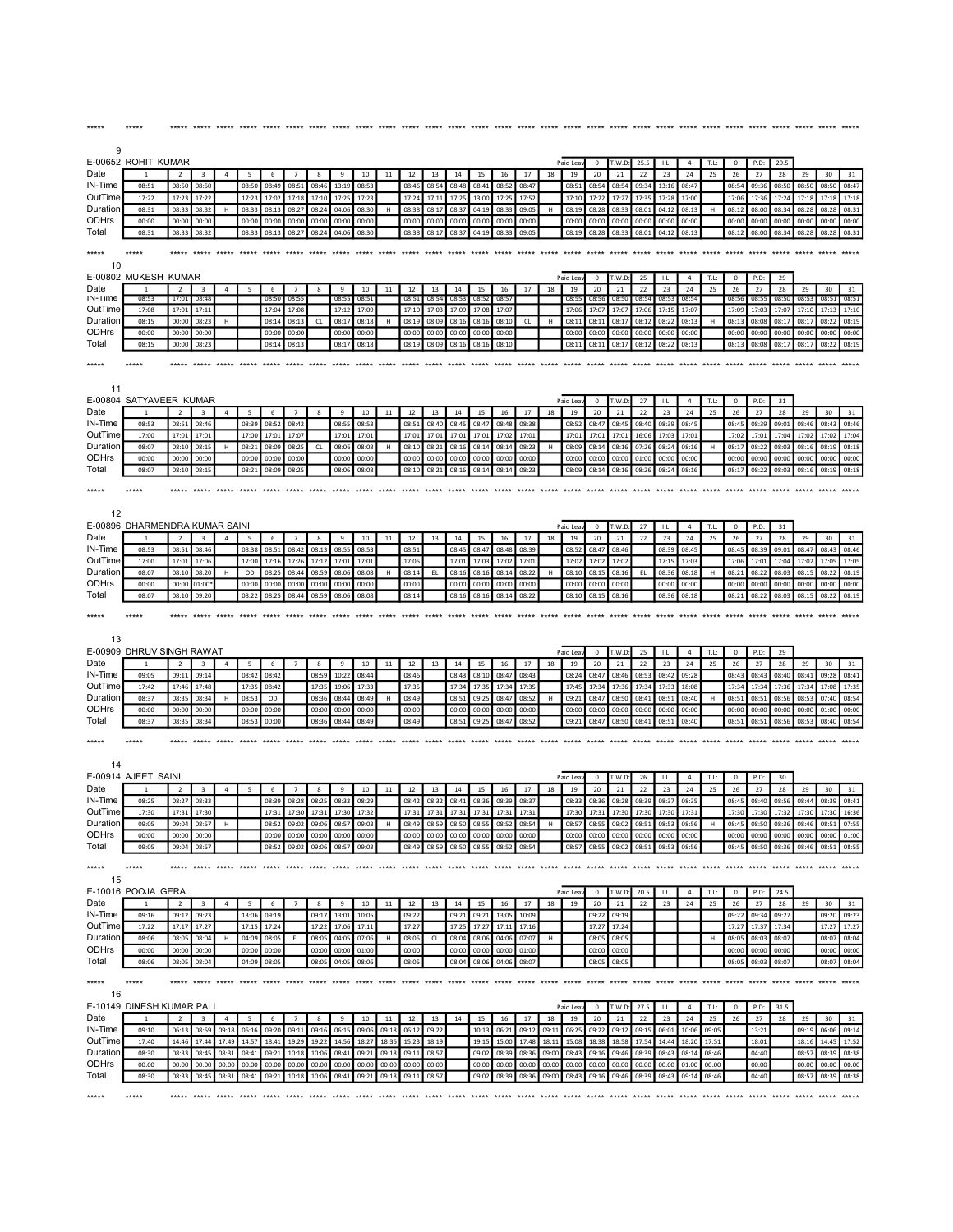| 9                   |                                    |                          |                                  |                |                |                            |                         |                               |                |                |                |                |                |                |                                     |                |                |                |                |                  |                |                |                                     |                      |             |                  |                                     |                |                |                |                |
|---------------------|------------------------------------|--------------------------|----------------------------------|----------------|----------------|----------------------------|-------------------------|-------------------------------|----------------|----------------|----------------|----------------|----------------|----------------|-------------------------------------|----------------|----------------|----------------|----------------|------------------|----------------|----------------|-------------------------------------|----------------------|-------------|------------------|-------------------------------------|----------------|----------------|----------------|----------------|
|                     | E-00652 ROHIT KUMAR                |                          |                                  |                |                |                            |                         |                               |                |                |                |                |                |                |                                     |                |                |                | Paid Lea       | $\mathbf 0$      | T.W.D          | 25.5           | LL:                                 | $\overline{4}$       | T.L:        | $\mathbf 0$      | P.D:                                | 29.5           |                |                |                |
| Date                |                                    | $\overline{2}$           | 3                                | $\overline{4}$ | 5              | 6                          |                         | 8                             | 9              | 10             | 11             | 12             | 13             | 14             | 15                                  | 16             | 17             | 18             | 19             | 20               | 21             | 22             | 23                                  | 24                   | 25          | 26               | 27                                  | 28             | 29             | 30             | 31             |
| IN-Time             | 08:51                              | 08:50                    | 08:50                            |                | 08:50          | 08:49                      | 08:51                   | 08:46                         | 13:19          | 08:53          |                | 08:46          | 08:54          | 08:48          | 08:41                               | 08:52          | 08:47          |                | 08:51          | 08:54            | 08:54          | 09:34          | 13:16                               | 08:47                |             | 08:54            | 09:36                               | 08:50          | 08:50          | 08:50          | 08:47          |
| OutTime             | 17:22                              | 17:23                    | 17:22                            |                | 17:23          | 17:02                      | 17:18                   | 17:10                         | 17:25          | 17:23          |                | 17:24          | 17:11          | 17:25          | 13:00                               | 17:25          | 17:52          |                | 17:10          | 17:22            | 17:27          | 17:35          | 17:28                               | 17:00                |             | 17:06            | 17:36                               | 17:24          | 17:18          | 17:18          | 17:18          |
| Duration            | 08:31                              | 08:33                    | 08:32                            | н              | 08:33          | 08:13                      | 08:27                   | 08:24                         | 04:06          | 08:30          | н              | 08:38          | 08:17          | 08:37          | 04:19                               | 08:33          | 09:05          | H              | 08:19          | 08:28            | 08:33          | 08:01          | 04:12                               | 08:13                |             | 08:12            | 08:00                               | 08:34          | 08:28          | 08:28          | 08:31          |
| ODHrs<br>Total      | 00:00<br>08:31                     | 00:00<br>08:33           | 00:00<br>08:32                   |                | 00:00<br>08:33 | 00:00                      | 00:00                   | 00:00                         | 00:00          | 00:00          |                | 00:00<br>08:38 | 00:00          | 00:00          | 00:00                               | 00:00<br>08:33 | 00:00          |                | 00:00<br>08:19 | 00:00            | 00:00          | 00:00          | 00:00                               | 00:00                |             | 00:00<br>08:12   | 00:00                               | 00:00          | 00:00          | 00:00<br>08:28 | 00:00<br>08:31 |
| *****               | *****                              |                          | *****                            | *****          | *****          | 08:13<br>***** ***** ***** | 08:27                   | 08:24                         | 04:06<br>***** | 08:30<br>***** |                |                | 08:17          | 08:37          | 04:19                               |                | 09:05          |                | *****          | 08:28            | 08:33          | 08:01          | 04:12                               | 08:13                | ***** ***** |                  | 08:00<br>*****                      | 08:34<br>***** | 08:28          |                |                |
| 10                  |                                    |                          |                                  |                |                |                            |                         |                               |                |                |                |                |                |                |                                     |                |                |                |                |                  |                |                |                                     |                      |             |                  |                                     |                |                |                |                |
| Date                | E-00802 MUKESH KUMAR               |                          |                                  |                |                |                            |                         |                               |                |                |                |                |                |                |                                     |                |                |                | Paid Lea       | $\mathbf 0$      | T.W.D          | 25             | LL:                                 | $\overline{4}$       | T.L         | $\pmb{0}$        | P.D:                                | 29             |                |                |                |
| $IN-I$ ime          | 1<br>08:53                         | $\overline{2}$<br>17:01  | $\overline{\mathbf{3}}$<br>08:48 | $\overline{4}$ | 5              | 6<br>08:5                  | $\overline{7}$<br>08:55 | 8                             | 9<br>08:5      | 10<br>08:51    | 11             | 12<br>08:51    | 13<br>08:54    | 14<br>08:53    | 15<br>08:52                         | 16<br>08:5     | 17             | 18             | 19<br>08:5     | 20<br>08:56      | 21<br>08:50    | 22<br>08:54    | 23<br>08:53                         | 24<br>08:54          | 25          | 26<br>08:56      | 27<br>08:55                         | 28<br>08:50    | 29<br>08:53    | 30<br>08:51    | 31<br>08:51    |
| OutTime             | 17:08                              | 17:01                    | 17:12                            |                |                | 17:04                      | 17:08                   |                               | 17:12          | 17:09          |                | 17:10          | 17:03          | 17:09          | 17:08                               | 17:07          |                |                | 17:06          | 17:07            | 17:07          | 17:06          | 17:15                               | 17:07                |             | 17:09            | 17:03                               | 17:07          | 17:10          | 17:13          | 17:10          |
| Duration            | 08:15                              | 00:00                    | 08:23                            | н              |                | 08:14                      | 08:13                   | CL                            | 08:17          | 08:18          |                | 08:19          | 08:09          | 08:16          | 08:16                               | 08:10          | CL             | H              | 08:11          | 08:11            | 08:17          | 08:12          | 08:22                               | 08:13                |             | 08:13            | 08:08                               | 08:17          | 08:17          | 08:22          | 08:19          |
| ODHrs               | 00:00                              | 00:00                    | 00:00                            |                |                | 00:00                      | 00:00                   |                               | 00:00          | 00:00          |                | 00:00          | 00:00          | 00:00          | 00:00                               | 00:00          |                |                | 00:00          | 00:00            | 00:00          | 00:00          | 00:00                               | 00:00                |             | 00:00            | 00:00                               | 00:00          | 00:00          | 00:00          | 00:00          |
| Total               | 08:15                              | 00:00                    | 08:23                            |                |                | 08:14                      | 08:13                   |                               | 08:17          | 08:18          |                | 08:19          | 08:09          | 08:16          | 08:16                               | 08:10          |                |                | 08:11          | 08:11            | 08:17          | 08:12          | 08:22                               | 08:13                |             | 08:13            | 08:08                               | 08:17          | 08:17          | 08:22          | 08:19          |
| *****               | *****                              |                          | ***** ***** *****                |                |                | *****                      | ***** *****             |                               | *****          | ***** *****    |                | *****          | *****          |                |                                     |                |                | *****          | *****          | *****            | *****          |                |                                     |                      |             |                  | ***** ***** ***** *****             | *****          |                |                |                |
| 11                  |                                    |                          |                                  |                |                |                            |                         |                               |                |                |                |                |                |                |                                     |                |                |                |                |                  |                |                |                                     |                      |             |                  |                                     |                |                |                |                |
|                     | E-00804 SATYAVEER KUMAR            |                          |                                  |                |                |                            |                         |                               |                |                |                |                |                |                |                                     |                |                |                | Paid Lea       | $\mathbf 0$      | T.W.D          | 27             | LL:                                 | $\overline{4}$       | T.L:        | 0                | P.D:                                | 31             |                |                |                |
| Date                |                                    | $\overline{\phantom{a}}$ | 3                                | $\overline{4}$ | 5              | 6                          | $\overline{7}$          | 8                             | 9              | 10             | $11\,$         | 12             | 13             | 14             | 15                                  | 16             | 17             | 18             | 19             | 20               | 21             | 22             | 23                                  | 24                   | 25          | 26               | 27                                  | 28             | 29             | 30             | 31             |
| IN-Time<br>OutTime  | 08:53<br>17:00                     | 08:51<br>17:01           | 08:46<br>17:03                   |                | 08:39<br>17:00 | 08:52<br>17:01             | 08:42<br>17:07          |                               | 08:55<br>17:01 | 08:53<br>17:01 |                | 08:51<br>17:01 | 08:40<br>17:01 | 08:45<br>17:01 | 08:47<br>17:01                      | 08:48<br>17:02 | 08:38<br>17:01 |                | 08:52<br>17:01 | 08:47            | 08:45<br>17:01 | 08:40<br>16:06 | 08:39<br>17:03                      | 08:45<br>17:01       |             | 08:45<br>17:02   | 08:39<br>17:01                      | 09:01<br>17:04 | 08:46<br>17:02 | 08:43<br>17:02 | 08:46<br>17:04 |
| Duration            | 08:07                              | 08:10                    | 08:15                            | н              | 08:21          | 08:09                      | 08:25                   | CL                            | 08:06          | 08:08          | Н.             | 08:10          | 08:21          | 08:16          | 08:14                               | 08:14          | 08:23          | H              | 08:09          | 17:01<br>08:14   | 08:16          | 07:26          | 08:24                               | 08:16                | H           | 08:17            | 08:22                               | 08:03          | 08:16          | 08:19          | 08:18          |
| ODHrs               | 00:00                              | 00:00                    | 00:00                            |                | 00:00          | 00:00                      | 00:00                   |                               | 00:00          | 00:00          |                | 00:00          | 00:00          | 00:00          | 00:00                               | 00:00          | 00:00          |                | 00:00          | 00:00            | 00:00          | 01:00          | 00:00                               | 00:00                |             | 00:00            | 00:00                               | 00:00          | 00:00          | 00:00          | 00:00          |
| Total               | 08:07                              | 08:10                    | 08:15                            |                | 08:21          | 08:09                      | 08:25                   |                               | 08:06          | 08:08          |                | 08:10          | 08:21          | 08:16          | 08:14                               | 08:14          | 08:23          |                | 08:09          | 08:14            | 08:16          | 08:26          | 08:24                               | 08:16                |             | 08:17            | 08:22                               | 08:03          | 08:16          | 08:19          | 08:18          |
|                     |                                    |                          |                                  |                |                |                            |                         |                               |                |                |                |                |                |                |                                     |                |                |                |                |                  |                |                |                                     |                      |             |                  |                                     |                |                |                |                |
| 12                  | E-00896 DHARMENDRA KUMAR SAINI     |                          |                                  |                |                |                            |                         |                               |                |                |                |                |                |                |                                     |                |                |                | Paid Leav      | $\overline{0}$   | T.W.D          | 27             | LL:                                 | $\overline{4}$       | T.L:        | $^{\circ}$       | P.D:                                | 31             |                |                |                |
| Date                |                                    | $\overline{2}$           | $\overline{3}$                   | $\overline{a}$ | 5              | 6                          | $\overline{7}$          | $\mathbf{R}$                  | $\mathbf{q}$   | 10             | 11             | 12             | 13             | 14             | 15                                  | 16             | 17             | 18             | 19             | 20               | 21             | 22             | 23                                  | 24                   | 25          | 26               | 27                                  | 28             | 29             | 30             | 31             |
| IN-Time<br>OutTime  | 08:53                              | 08:51                    | 08:46                            |                | 08:38          | 08:51                      | 08:42                   | 08:13                         | 08:55          | 08:53          |                | 08:51          |                | 08:45          | 08:47                               | 08:48          | 08:39          |                | 08:52          | 08:47            | 08:46          |                | 08:39                               | 08:45                |             | 08:45            | 08:39                               | 09:01          | 08:47          | 08:43          | 08:46          |
| Duration            | 17:00<br>08:07                     | 17:01<br>08:10           | 17:06<br>08:20                   | H              | 17:00<br>OD    | 17:16<br>08:25             | 17:26<br>08:44          | 17:12<br>08:59                | 17:01<br>08:06 | 17:01<br>08:08 | н              | 17:05<br>08:14 | EL.            | 17:01<br>08:16 | 17:03<br>08:16                      | 17:02<br>08:14 | 17:01<br>08:22 | H              | 17:02<br>08:10 | 17:02<br>08:15   | 17:02<br>08:16 | EL.            | 17:15<br>08:36                      | 17:03<br>08:18       | н           | 17:06<br>08:21   | 17:01<br>08:22                      | 17:04<br>08:03 | 17:02<br>08:15 | 17:05<br>08:22 | 17:05<br>08:19 |
| ODHrs               | 00:00                              | 00:00                    | 01:00                            |                | 00:00          | 00:00                      | 00:00                   | 00:00                         | 00:00          | 00:00          |                | 00:00          |                | 00:00          | 00:00                               | 00:00          | 00:00          |                | 00:00          | 00:00            | 00:00          |                | 00:00                               | 00:00                |             | 00:00            | 00:00                               | 00:00          | 00:00          | 00:00          | 00:00          |
| Total               | 08:07                              | 08:10                    | 09:20                            |                | 08:22          | 08:25                      | 08:44                   | 08:59                         | 08:06          | 08:08          |                | 08:14          |                | 08:16          | 08:16                               | 08:14          | 08:22          |                | 08:10          | 08:15            | 08:16          |                | 08:36                               | 08:18                |             | 08:21            | 08:22                               | 08:03          | 08:15          | 08:22          | 08:19          |
|                     |                                    |                          |                                  |                |                |                            |                         |                               |                |                |                |                |                |                |                                     |                |                |                |                |                  |                |                |                                     |                      |             |                  |                                     |                |                |                |                |
| *****<br>13         | *****<br>E-00909 DHRUV SINGH RAWAT |                          |                                  |                |                |                            |                         |                               |                |                |                |                |                |                |                                     |                |                |                | Paid Lea       | $\mathbf 0$      | T.W.D          | 25             | LL:                                 | $\overline{4}$       | T.L:        | $\mathbf{0}$     | P.D:                                | 29             |                |                |                |
| Date                | $\overline{1}$                     | $\overline{2}$           | $\overline{\mathbf{3}}$          | $\overline{4}$ | 5              | 6                          | $\overline{7}$          | 8                             | 9              | 10             | 11             | 12             | 13             | 14             | 15                                  | 16             | 17             | 18             | 19             | 20               | 21             | 22             | 23                                  | 24                   | 25          | 26               | 27                                  | 28             | 29             | 30             | 31             |
| IN-Time             | 09:05                              | 09:11                    | 09:14                            |                | 08:42          | 08:42                      |                         | 08:59                         | 10:22          | 08:44          |                | 08:46          |                | 08:43          | 08:10                               | 08:47          | 08:43          |                | 08:24          | 08:47            | 08:46          | 08:53          | 08:42                               | 09:28                |             | 08:43            | 08:43                               | 08:40          | 08:41          | 09:28          | 08:41          |
| OutTime             | 17:42                              | 17:46                    | 17:48                            |                | 17:35          | 08:42                      |                         | 17:3!                         | 19:06          | 17:33          |                | 17:35          |                | 17:34          | 17:35                               | 17:34          | 17:35          |                | 17:45          | 17:34            | 17:36          | 17:34          | 17:33                               | 18:08                |             | 17:34            | 17:34                               | 17:36          | 17:34          | 17:08          | 17:35          |
| Duration            | 08:37                              | 08:35                    | 08:34                            | H              | 08:53          | OD                         |                         | 08:36                         | 08:44          | 08:49          | H              | 08:49          |                | 08:51          | 09:25                               | 08:47          | 08:52          | H              | 09:21          | 08:47            | 08:50          | 08:41          | 08:51                               | 08:40                | H           | 08:51            | 08:51                               | 08:56          | 08:53          | 07:40          | 08:54          |
| ODHrs               | 00:00                              | 00:00                    | 00:00                            |                | 00:00          | 00:00                      |                         | 00:00                         | 00:00          | 00:00          |                | 00:00          |                | 00:00          | 00:00                               | 00:00          | 00:00          |                | 00:00          | 00:00            | 00:00          | 00:00          | 00:00                               | 00:00                |             | 00:00            | 00:00                               | 00:00          | 00:00          | 01:00          | 00:00          |
| Total<br>*****      | 08:37<br>$****$                    | 08:35                    | 08:34<br>seem anne               |                | 08:53          | 00:00<br>$***$ *****       |                         | 08:36                         | 08:44          | 08:49          |                | 08:49          |                | 08:5           | 09:25                               | 08:47          | 08:52          |                | 09:21          | 08:47<br>$*****$ | 08:50          | 08:41          | 08:5                                | 08:40                |             | 08:51<br>$*****$ | 08:51                               | 08:56          | 08:53          | 08:40          | 08:54          |
| 14                  |                                    |                          |                                  |                |                |                            |                         |                               |                |                |                |                |                |                |                                     |                |                |                |                |                  |                |                |                                     |                      |             |                  |                                     |                |                |                |                |
|                     | E-00914 AJEET SAINI                |                          |                                  |                |                |                            |                         |                               |                |                |                |                |                |                |                                     |                |                |                | Paid Lea       | $\mathbf 0$      | T.W.D          | 26             | <b>LL:</b>                          | $\overline{4}$       | T.L:        | $\mathbf{0}$     | P.D:                                | 30             |                |                |                |
| Date                | 1                                  | $\overline{2}$           | 3                                | $\overline{4}$ | 5              | 6                          | $\overline{7}$          | 8                             | 9              | 10             | 11             | 12             | 13             | 14             | 15                                  | 16             | 17             | 18             | 19             | 20               | 21             | 22             | 23                                  | 24                   | 25          | 26               | 27                                  | 28             | 29             | 30             | 31             |
| IN-Time             | 08:25                              | 08:27                    | 08:33                            |                |                | 08:39                      | 08:28                   | 08:25                         | 08:33          | 08:29          |                | 08:42          | 08:32          | 08:41          | 08:36                               | 08:39          | 08:37          |                | 08:33          | 08:36            | 08:28          | 08:39          | 08:37                               | 08:35                |             | 08:45            | 08:40                               | 08:56          | 08:44          | 08:39          | 08:41          |
| OutTime<br>Duration | 17:30<br>09:05                     | 17:31<br>09:04           | 17:30<br>08:57                   | н              |                | 17:33<br>08:52             | 17:30<br>09:02          | 17:31<br>09:06                | 17:30<br>08:5  | 17:32<br>09:03 | н              | 17:31<br>08:49 | 17:31<br>08:59 | 17:3<br>08:50  | 17:33<br>08:55                      | 17:31<br>08:52 | 17:31<br>08:54 | $\mathsf H$    | 17:30<br>08:57 | 17:31<br>08:55   | 17:30<br>09:02 | 17:30<br>08:51 | 17:30<br>08:53                      | 17:31<br>08:56       | н           | 17:30<br>08:45   | 17:30<br>08:50                      | 17:32<br>08:36 | 17:30<br>08:46 | 17:30<br>08:51 | 16:36<br>07:55 |
| ODHrs               | 00:00                              |                          | 00:00 00:00                      |                |                |                            |                         | 00:00 00:00 00:00 00:00 00:00 |                |                |                |                |                |                | 00:00 00:00 00:00 00:00 00:00 00:00 |                |                |                |                |                  |                |                | 00:00 00:00 00:00 00:00 00:00 00:00 |                      |             |                  | 00:00 00:00 00:00 00:00 00:00 01:00 |                |                |                |                |
| Total               | 09:05                              | 09:04                    | 08:57                            |                |                | 08:52                      | 09:02                   | 09:06                         | 08:57          | 09:03          |                | 08:49          | 08:59          | 08:50          | 08:55                               | 08:52          | 08:54          |                | 08:57          | 08:55            | 09:02          | 08:51          | 08:53                               | 08:56                |             | 08:45            | 08:50                               | 08:36          | 08:46          | 08:51          | 08:55          |
| *****<br>15         | $*****$                            |                          |                                  |                |                |                            |                         |                               |                |                |                |                |                |                |                                     |                |                |                |                |                  |                |                |                                     |                      |             |                  |                                     |                |                |                |                |
|                     | E-10016 POOJA GERA                 |                          |                                  |                |                |                            |                         |                               |                |                |                |                |                |                |                                     |                |                |                | Paid Leav      | $^{\circ}$       | T.W.D:         | 20.5           | 1.1                                 | $\overline{4}$       | T.L:        | $^{\circ}$       | P.D:                                | 24.5           |                |                |                |
| Date                | -1                                 | 2                        | $\overline{\mathbf{3}}$          | $\overline{4}$ | 5              | 6                          | 7                       | 8                             | 9              | 10             | 11             | 12             | 13             | 14             |                                     | 15 16          | 17             | 18             | 19             | 20               | 21             | 22             | 23                                  | 24                   | 25          | 26               | 27                                  | 28             | 29             | 30             | 31             |
| IN-Time             | 09:16                              | 09:12                    | 09:23                            |                | 13:06          | 09:19                      |                         | 09:17                         | 13:01          | 10:05          |                | 09:22          |                | 09:21          | 09:21                               | 13:05          | 10:09          |                |                | 09:22            | 09:19          |                |                                     |                      |             | 09:22            | 09:34                               | 09:27          |                | 09:20          | 09:23          |
| OutTime             | 17:22                              | 17:17                    | 17:27                            |                | 17:15          | 17:24                      |                         | 17:22                         | 17:06          | 17:11          |                | 17:27          |                | 17:25          | 17:27                               | 17:11          | 17:16          |                |                | 17:27            | 17:24          |                |                                     |                      |             | 17:27            | 17:37                               | 17:34          |                | 17:27          | 17:27          |
| Duration            | 08:06                              | 08:05                    | 08:04                            | H              | 04:09          | 08:05                      | EL.                     | 08:05                         | 04:05          | 07:06          | н              | 08:05          | CL             | 08:04          | 08:06                               | 04:06          | 07:07          | H              |                | 08:05            | 08:05          |                |                                     |                      | н           | 08:05            | 08:03                               | 08:07          |                | 08:07          | 08:04          |
| ODHrs               | 00:00                              | 00:00                    | 00:00                            |                | 00:00          | 00:00                      |                         | 00:00                         | 00:00          | 01:00          |                | 00:00          |                | 00:00          | 00:00                               | 00:00          | 01:00          |                |                | 00:00            | 00:00          |                |                                     |                      |             | 00:00            | 00:00                               | 00:00          |                | 00:00          | 00:00          |
| Total               | 08:06                              | 08:05                    | 08:04                            |                | 04:09          | 08:05                      |                         | 08:05                         | 04:05          | 08:06          |                | 08:05          |                | 08:04          | 08:06                               | 04:06          | 08:07          |                |                | 08:05            | 08:05          |                |                                     |                      |             | 08:05            | 08:03                               | 08:07          |                | 08:07          | 08:04          |
| *****<br>16         | *****                              |                          |                                  |                |                |                            |                         |                               |                |                |                |                |                |                |                                     |                |                |                |                |                  |                |                |                                     |                      |             |                  |                                     |                |                |                |                |
|                     | E-10149 DINESH KUMAR PALI          |                          |                                  |                |                |                            |                         |                               |                |                |                |                |                |                |                                     |                |                |                | Paid Leav      |                  | $0$ T.W.D:     | 27.5           | LL:                                 | $\overline{4}$       | T.L:        | $^{\circ}$       | P.D:                                | 31.5           |                |                |                |
| Date                | $\mathbf{1}$                       | $\overline{2}$           | $\overline{\mathbf{3}}$          | $\overline{4}$ | - 5            | - 6                        | $\overline{7}$          | 8                             | 9              | 10             | 11             | 12             | 13             | 14             | 15                                  | 16             | 17             | 18             | 19             | 20               | 21             | 22             | 23                                  | 24                   | 25          | 26               | 27                                  | 28             | 29             | 30             | 31             |
| IN-Time             | 09:10                              |                          | 06:13 08:59                      | 09:18          | 06:16          | 09:20                      | 09:11                   | 09:16                         | 06:15          | 09:06          | 09:18          | 06:12          | 09:22          |                | 10:13                               | 06:21 09:12    |                | 09:11          | 06:25          | 09:22            | 09:12          | 09:15          | 06:01                               | 10:06                | 09:05       |                  | 13:21                               |                | 09:19 06:06    |                | 09:14          |
| OutTime             | 17:40                              | 14:46                    | 17:44                            | 17:49          | 14:57          | 18:41                      | 19:29                   | 19:22                         | 14:56          | 18:27          | 18:36          | 15:23          | 18:19          |                | 19:15                               | 15:00          | 17:48          | 18:11          | 15:08          | 18:38            | 18:58          | 17:54          | 14:44                               | 18:20                | 17:51       |                  | 18:01                               |                | 18:16          | 14:45          | 17:52          |
| Duration<br>ODHrs   | 08:30<br>00:00                     | 08:33<br>00:00           | 08:45<br>00:00                   | 08:31<br>00:00 | 08:41<br>00:00 | 09:21<br>00:00             | 10:18<br>00:00          | 10:06<br>00:00                | 08:41<br>00:00 | 09:21<br>00:00 | 09:18<br>00:00 | 09:11<br>00:00 | 08:57<br>00:00 |                | 09:02<br>00:00                      | 08:39<br>00:00 | 08:36<br>00:00 | 09:00<br>00:00 | 08:43<br>00:00 | 09:16<br>00:00   | 09:46<br>00:00 | 08:39<br>00:00 | 08:43<br>00:00                      | 08:14 08:46<br>01:00 | 00:00       |                  | 04:40<br>00:00                      |                | 08:57<br>00:00 | 08:39<br>00:00 | 08:38<br>00:00 |

\*\*\*\*\* \*\*\*\*\* \*\*\*\*\* \*\*\*\*\* \*\*\*\*\* \*\*\*\*\* \*\*\*\*\* \*\*\*\*\* \*\*\*\*\* \*\*\*\*\* \*\*\*\*\* \*\*\*\*\* \*\*\*\*\* \*\*\*\*\* \*\*\*\*\* \*\*\*\*\* \*\*\*\*\* \*\*\*\*\* \*\*\*\*\* \*\*\*\*\* \*\*\*\*\* \*\*\*\*\* \*\*\*\*\* \*\*\*\*\* \*\*\*\*\* \*\*\*\*\* \*\*\*\*\* \*\*\*\*\* \*\*\*\*\* \*\*\*\*\* \*\*\*\*\* \*\*\*\*\*

\*\*\*\*\* \*\*\*\*\* \*\*\*\*\* \*\*\*\*\* \*\*\*\*\* \*\*\*\*\* \*\*\*\*\* \*\*\*\*\* \*\*\*\*\* \*\*\*\*\* \*\*\*\*\* \*\*\*\*\* \*\*\*\*\* \*\*\*\*\* \*\*\*\*\* \*\*\*\*\* \*\*\*\*\* \*\*\*\*\* \*\*\*\*\* \*\*\*\*\* \*\*\*\*\* \*\*\*\*\* \*\*\*\*\* \*\*\*\*\* \*\*\*\*\* \*\*\*\*\* \*\*\*\*\* \*\*\*\*\* \*\*\*\*\* \*\*\*\*\* \*\*\*\*\* \*\*\*\*\*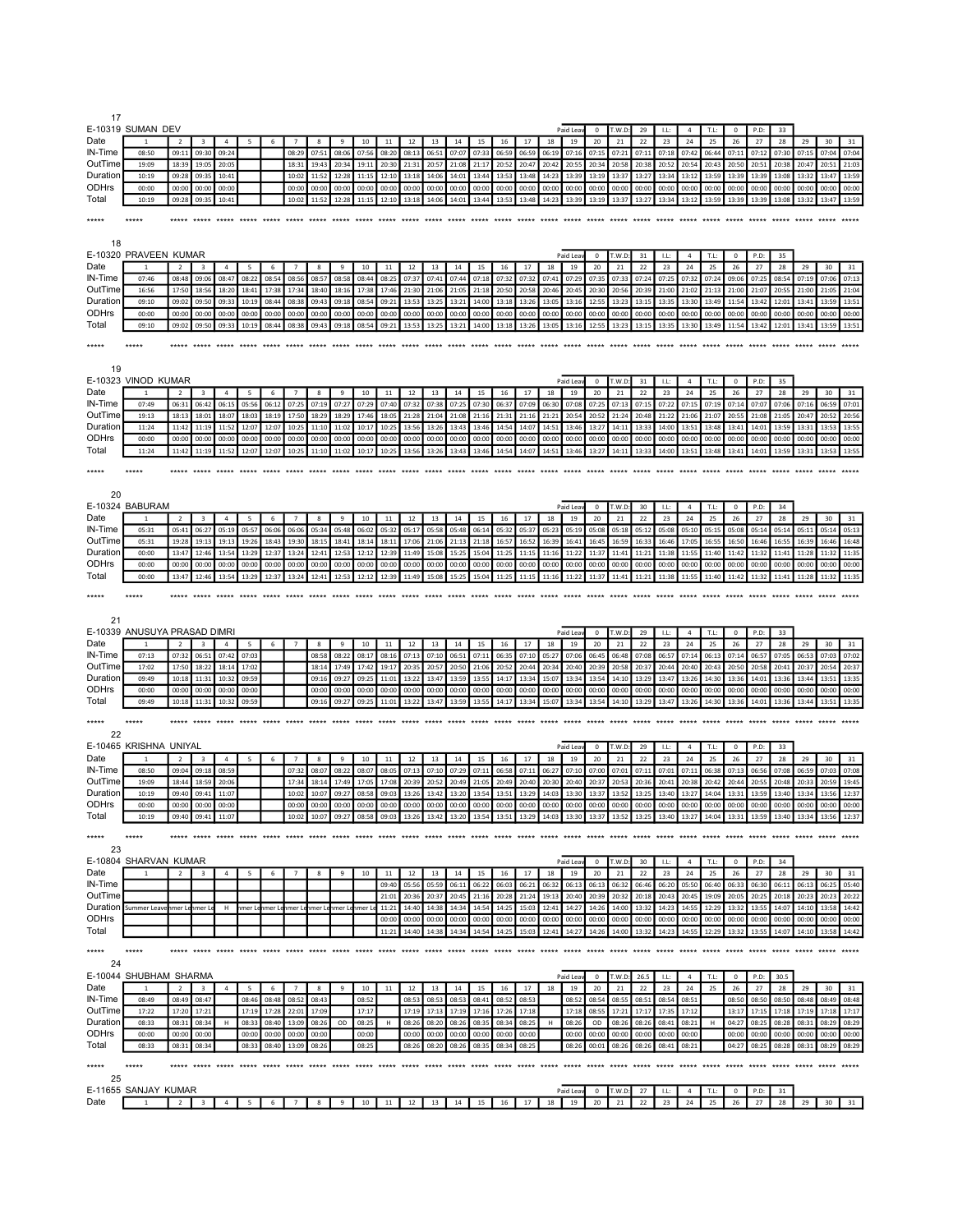| 17                      |                                                |                            |                         |                |       |       |                |                |                                                                                                                                                                   |                   |             |       |                               |       |       |                         |                |                |                 |                                                       |                |                |                |                |                |                |                               |                         |                   |                                           |                |
|-------------------------|------------------------------------------------|----------------------------|-------------------------|----------------|-------|-------|----------------|----------------|-------------------------------------------------------------------------------------------------------------------------------------------------------------------|-------------------|-------------|-------|-------------------------------|-------|-------|-------------------------|----------------|----------------|-----------------|-------------------------------------------------------|----------------|----------------|----------------|----------------|----------------|----------------|-------------------------------|-------------------------|-------------------|-------------------------------------------|----------------|
|                         | E-10319 SUMAN DEV                              |                            |                         |                |       |       |                |                |                                                                                                                                                                   |                   |             |       |                               |       |       |                         |                |                | Paid Lea        | $^{\circ}$                                            | T.W.D:         | 29             | LL             | $\overline{4}$ | T.L:           | $^{\circ}$     | P.D:                          | 33                      |                   |                                           |                |
| Date                    |                                                | $\overline{2}$             | 3                       | $\overline{4}$ |       | 6     | $\overline{7}$ | 8              | 9                                                                                                                                                                 | 10                | 11          | 12    | 13                            | 14    | 15    | 16                      | 17             | 18             | 19              | 20                                                    | 21             | 22             | 23             | 24             | 25             | 26             | 27                            | 28                      | 29                | 30                                        | 31             |
| IN-Time                 | 08:50                                          | 09:11                      | 09:30                   | 09:24          |       |       | 08:29          | 07:51          | 08:06                                                                                                                                                             | 07:56             | 08:20       | 08:13 | 06:51                         | 07:07 | 07:33 | 06:59                   | 06:59          | 06:19          | 07:16           | 07:15                                                 | 07:21          | 07:11          | 07:18          | 07:42          | 06:44          | 07:11          | 07:12                         | 07:30                   | 07:15             | 07:04                                     | 07:04          |
| OutTime                 | 19:09                                          | 18:39                      | 19:05                   | 20:05          |       |       | 18:31          | 19:43          | 20:34                                                                                                                                                             | 19:11             | 20:30       | 21:31 | 20:57                         | 21:08 | 21:17 | 20:52                   | 20:47          | 20:42          | 20:55           | 20:34                                                 | 20:58          | 20:38          | 20:52          | 20:54          | 20:43          | 20:50          | 20:51                         | 20:38                   | 20:47             | 20:51                                     | 21:03          |
| Duration                | 10:19                                          | 09:28                      | 09:35                   | 10:41          |       |       | 10:02          | 11:52          | 12:28                                                                                                                                                             | 11:15             | 12:10       | 13:18 | 14:06                         | 14:01 | 13:44 | 13:53                   | 13:48          | 14:23          | 13:39           | 13:19                                                 | 13:37          | 13:27          | 13:34          | 13:12          | 13:59          | 13:39          | 13:39                         | 13:08                   | 13:32             | 13:47                                     | 13:59          |
| ODHrs                   | 00:00                                          | 00:00                      | 00:00                   | 00:00          |       |       | 00:00          | 00:00          | 00:00                                                                                                                                                             | 00:00             | 00:00       | 00:00 | 00:00                         | 00:00 | 00:00 | 00:00                   | 00:00          | 00:00          | 00:00           | 00:00                                                 | 00:00          | 00:00          | 00:00          | 00:00          | 00:00          | 00:00          | 00:00                         | 00:00                   | 00:00             | 00:00                                     | 00:00          |
| Total                   | 10:19                                          | 09:28 09:35                |                         | 10:41          |       |       | 10:02          | 11:52          | 12:28                                                                                                                                                             | 11:15             | 12:10 13:18 |       | 14:06                         | 14:01 | 13:44 | 13:53                   | 13:48          | 14:23          | 13:39           | 13:19 13:37                                           |                | 13:27          | 13:34          | 13:12          | 13:59          | 13:39          | 13:39                         | 13:08                   | 13:32             | 13:47                                     | 13:59          |
|                         |                                                |                            |                         |                |       |       |                |                |                                                                                                                                                                   |                   |             |       |                               |       |       |                         |                |                |                 |                                                       |                |                |                |                |                |                |                               |                         |                   |                                           |                |
| *****                   | $****$                                         |                            |                         |                |       |       |                |                |                                                                                                                                                                   |                   |             |       | ***** ***** ***** ***** ***** |       |       |                         | ***** *****    |                |                 |                                                       |                |                |                |                |                |                |                               |                         |                   |                                           |                |
|                         |                                                |                            |                         |                |       |       |                |                |                                                                                                                                                                   |                   |             |       |                               |       |       |                         |                |                |                 |                                                       |                |                |                |                |                |                |                               |                         |                   |                                           |                |
| -18                     |                                                |                            |                         |                |       |       |                |                |                                                                                                                                                                   |                   |             |       |                               |       |       |                         |                |                |                 |                                                       |                |                |                |                |                |                |                               |                         |                   |                                           |                |
|                         | E-10320 PRAVEEN KUMAR                          |                            |                         |                |       |       |                |                |                                                                                                                                                                   |                   |             |       |                               |       |       |                         |                |                | Paid Leav       |                                                       | $0$ T.W.D:     | 31             | I.L:           | $\overline{4}$ | T.L:           | $\mathbf 0$    | P.D:                          | 35                      |                   |                                           |                |
| Date                    |                                                | $\overline{2}$             | $\overline{\mathbf{3}}$ | $\overline{4}$ | - 5   | 6     | $\overline{7}$ | 8              | 9                                                                                                                                                                 | 10                | 11          | 12    | 13                            | 14    | 15    | 16                      | 17             | 18             | 19              | 20                                                    | 21             | 22             | 23             | 24             | 25             | 26             | 27                            | 28                      | 29                | 30                                        | 31             |
| IN-Time                 | 07:46                                          |                            | 08:48 09:06             | 08:47          | 08:22 | 08:54 | 08:56          | 08:57          | 08:58                                                                                                                                                             | 08:44             | 08:25 07:37 |       | 07:41                         | 07:44 | 07:18 | 07:32                   | 07:32          | 07:41          | 07:29           | 07:35                                                 | 07:33          | 07:24          | 07:25          | 07:32          | 07:24          | 09:06          | 07:25                         | 08:54                   | 07:19 07:06       |                                           | 07:13          |
| OutTime                 | 16:56                                          | 17:50 18:56                |                         | 18:20          | 18:41 | 17:38 | 17:34          | 18:40          | 18:16                                                                                                                                                             | 17:38             | 17:46       | 21:30 | 21:06                         | 21:05 | 21:18 | 20:50                   | 20:58          | 20:46          | 20:45           | 20:30                                                 | 20:56          | 20:39          | 21:00          | 21:02          | 21:13          | 21:00          | 21:07                         | 20:55                   | 21:00             | 21:05                                     | 21:04          |
| Duration                | 09:10                                          |                            | 09:02 09:50             | 09:33          | 10:19 | 08:44 | 08:38          | 09:43          | 09:18                                                                                                                                                             | 08:54             | 09:21       | 13:53 | 13:25                         | 13:21 | 14:00 | 13:18                   | 13:26          | 13:05          | 13:16           | 12:55                                                 | 13:23          | 13:15          | 13:35          | 13:30          | 13:49          | 11:54          | 13:42                         | 12:01                   | 13:41             | 13:59                                     | 13:51          |
| ODHrs                   | 00:00                                          | 00:00 00:00                |                         | 00:00          | 00:00 | 00:00 | 00:00          | 00:00          | 00:00                                                                                                                                                             | 00:00             | 00:00       | 00:00 | 00:00                         | 00:00 | 00:00 | 00:00                   | 00:00          | 00:00          | 00:00           | 00:00                                                 | 00:00          | 00:00          | 00:00          | 00:00          | 00:00          | 00:00          | 00:00                         | 00:00                   | 00:00             | 00:00                                     | 00:00          |
| Total                   | 09:10                                          |                            | 09:02 09:50             | 09:33          | 10:19 | 08:44 | 08:38          | 09:43          | 09:18                                                                                                                                                             | 08:54             | 09:21 13:53 |       | 13:25                         | 13:21 |       | 14:00 13:18 13:26       |                | 13:05          |                 | 13:16 12:55 13:23                                     |                | 13:15          | 13:35          | 13:30          | 13:49          | 11:54          |                               | 13:42 12:01 13:41 13:59 |                   |                                           | 13:51          |
|                         |                                                |                            |                         |                |       |       |                |                |                                                                                                                                                                   |                   |             |       |                               |       |       |                         |                |                |                 |                                                       |                |                |                |                |                |                |                               |                         |                   |                                           |                |
| *****                   | $*****$                                        |                            |                         |                |       |       |                |                |                                                                                                                                                                   |                   |             |       |                               |       |       |                         |                |                |                 |                                                       |                |                |                |                |                |                |                               |                         |                   |                                           |                |
|                         |                                                |                            |                         |                |       |       |                |                |                                                                                                                                                                   |                   |             |       |                               |       |       |                         |                |                |                 |                                                       |                |                |                |                |                |                |                               |                         |                   |                                           |                |
| -19                     |                                                |                            |                         |                |       |       |                |                |                                                                                                                                                                   |                   |             |       |                               |       |       |                         |                |                |                 |                                                       |                |                |                |                |                |                |                               |                         |                   |                                           |                |
|                         | E-10323 VINOD KUMAR                            |                            |                         |                |       |       |                |                |                                                                                                                                                                   |                   |             |       |                               |       |       |                         |                |                | Paid Leav       | $\circ$                                               | T.W.D:         | 31             | LL:            | $\overline{4}$ | T.L:           | $\circ$        | P.D:                          | 35                      |                   |                                           |                |
| Date                    |                                                |                            | $\overline{3}$          | $\overline{a}$ | 5     | -6    | $\overline{7}$ | $\mathbf{R}$   | $\mathbf{q}$                                                                                                                                                      | 10                | 11          | 12    | 13                            | 14    | 15    | 16                      | 17             | 18             | 19              | 20                                                    | 21             | 22             | 23             | 24             | 25             | 26             | 27                            | 28                      | 29                | 30                                        | 31             |
| IN-Time                 | 07:49                                          |                            | 06:31 06:42             | 06:15          | 05:56 | 06:12 | 07:25          | 07:19          | 07:27                                                                                                                                                             | 07:29             | 07:40 07:32 |       | 07:38                         | 07:25 | 07:30 | 06:37                   | 07:09          | 06:30          | 07:08           | 07:25                                                 | 07:13          | 07:15          | 07:22          | 07:15          | 07:19          | 07:14          | 07:07                         | 07:06                   | 07:16 06:59       |                                           | 07:01          |
| OutTime                 | 19:13                                          | 18:13 18:01                |                         | 18:07          | 18:03 | 18:19 | 17:50          | 18:29          | 18:29                                                                                                                                                             | 17:46             | 18:05       | 21:28 | 21:04                         | 21:08 | 21:16 | 21:31                   | 21:16          | 21:21          | 20:54           | 20:52                                                 | 21:24          | 20:48          | 21:22          | 21:06          | 21:07          | 20:55          | 21:08                         | 21:05                   | 20:47             | 20:52                                     | 20:56          |
| Duration                | 11:24                                          |                            | 11:42 11:19             | 11:52          | 12:07 | 12:07 | 10:25          | 11:10          | 11:02                                                                                                                                                             | 10:17             | 10:25       | 13:56 | 13:26                         | 13:43 | 13:46 | 14:54                   | 14:07          | 14:51          | 13:46           | 13:27                                                 | 14:11          | 13:33          | 14:00          | 13:51          | 13:48          | 13:41          | 14:01                         | 13:59                   | 13:31             | 13:53                                     | 13:55          |
| ODHrs                   | 00:00                                          |                            | 00:00 00:00             | 00:00          | 00:00 | 00:00 | 00:00          | 00:00          | 00:00                                                                                                                                                             | 00:00             | 00:00       | 00:00 | 00:00                         | 00:00 | 00:00 | 00:00                   | 00:00          | 00:00          | 00:00           | 00:00                                                 | 00:00          | 00:00          | 00:00          | 00:00          | 00:00          | 00:00          | 00:00                         | 00:00                   | 00:00             | 00:00                                     | 00:00          |
| Total                   | 11:24                                          |                            | 11:42 11:19             | 11:52          | 12:07 | 12:07 | 10:25          |                | 11:10 11:02                                                                                                                                                       | 10:17 10:25 13:56 |             |       | 13:26                         | 13:43 | 13:46 | 14:54                   | 14:07          |                |                 | 14:51 13:46 13:27 14:11 13:33                         |                |                | 14:00          | 13:51          | 13:48          | 13:41          | 14:01 13:59                   |                         | 13:31 13:53       |                                           | 13:55          |
|                         |                                                |                            |                         |                |       |       |                |                |                                                                                                                                                                   |                   |             |       |                               |       |       |                         |                |                |                 |                                                       |                |                |                |                |                |                |                               |                         |                   |                                           |                |
| *****                   | $*****$                                        |                            |                         |                |       |       |                |                |                                                                                                                                                                   |                   |             |       |                               |       |       |                         |                |                |                 |                                                       |                |                |                |                |                |                |                               |                         |                   |                                           |                |
|                         |                                                |                            |                         |                |       |       |                |                |                                                                                                                                                                   |                   |             |       |                               |       |       |                         |                |                |                 |                                                       |                |                |                |                |                |                |                               |                         |                   |                                           |                |
| 20                      |                                                |                            |                         |                |       |       |                |                |                                                                                                                                                                   |                   |             |       |                               |       |       |                         |                |                |                 |                                                       |                |                |                |                |                |                |                               |                         |                   |                                           |                |
|                         | E-10324 BABURAM                                |                            |                         |                |       |       |                |                |                                                                                                                                                                   |                   |             |       |                               |       |       |                         |                |                | Paid Leav       |                                                       | $0$ T.W.D:     | 30             | LL:            | $\overline{a}$ | T.L:           | $\circ$        | P.D:                          | 34                      |                   |                                           |                |
| Date                    | $\overline{1}$                                 | $\overline{2}$             | $\overline{\mathbf{3}}$ | $\overline{4}$ | - 5   | 6     | $\overline{7}$ | -8             | $\mathbf{q}$                                                                                                                                                      | 10                | 11          | 12    | 13                            | 14    | 15    | 16                      | 17             | 18             | 19              | 20                                                    | 21             | 22             | 23             | 24             | 25             | 26             | 27                            | 28                      | 29                | 30                                        | 31             |
| IN-Time                 | 05:31                                          |                            | 05:41 06:27             | 05:19          | 05:57 | 06:06 | 06:06          | 05:34          | 05:48                                                                                                                                                             | 06:02             | 05:32       | 05:17 | 05:58                         | 05:48 | 06:14 | 05:32                   | 05:37          | 05:23          | 05:19           | 05:08 05:18                                           |                | 05:12          | 05:08          | 05:10          | 05:15          | 05:08          | 05:14                         |                         | 05:14 05:11 05:14 |                                           | 05:13          |
| OutTime                 | 05:31                                          | 19:28                      | 19:13                   | 19:13          | 19:26 | 18:43 | 19:30          | 18:15          | 18:41                                                                                                                                                             | 18:14             | 18:11       | 17:06 | 21:06                         | 21:13 | 21:18 | 16:57                   | 16:52          | 16:39          | 16:41           | 16:45                                                 | 16:59          | 16:33          | 16:46          | 17:05          | 16:55          | 16:50          | 16:46                         | 16:55                   | 16:39             | 16:46                                     | 16:48          |
| Duration                | 00:00                                          |                            | 13:47 12:46             | 13:54          | 13:29 | 12:37 | 13:24          | 12:41          | 12:53                                                                                                                                                             | 12:12             | 12:39       | 11:49 | 15:08                         | 15:25 | 15:04 | 11:25                   | 11:15          | 11:16          | 11:22           |                                                       | 11:37 11:41    | 11:21          | 11:38          | 11:55          | 11:40          | 11:42          | 11:32                         | 11:41                   | 11:28             | 11:32                                     | 11:35          |
| ODHrs                   | 00:00                                          | 00:00                      | 00:00                   | 00:00          | 00:00 | 00:00 | 00:00          | 00:00          | 00:00                                                                                                                                                             | 00:00             | 00:00       | 00:00 | 00:00                         | 00:00 | 00:00 | 00:00                   | 00:00          | 00:00          | 00:00           | 00:00                                                 | 00:00          | 00:00          | 00:00          | 00:00          | 00:00          | 00:00          | 00:00                         | 00:00                   | 00:00             | 00:00                                     | 00:00          |
| Total                   | 00:00                                          |                            | 13:47 12:46             | 13:54          | 13:29 | 12:37 |                | 13:24 12:41    | 12:53                                                                                                                                                             | 12:12             | 12:39 11:49 |       | 15:08                         | 15:25 |       | 15:04 11:25             | 11:15          | 11:16          | 11:22           | 11:37 11:41 11:21 11:38                               |                |                |                | 11:55          | 11:40          | 11:42          |                               | 11:32 11:41 11:28 11:32 |                   |                                           | 11:35          |
|                         |                                                |                            |                         |                |       |       |                |                |                                                                                                                                                                   |                   |             |       |                               |       |       |                         |                |                |                 |                                                       |                |                |                |                |                |                |                               |                         |                   |                                           |                |
| *****                   | $****$                                         |                            |                         |                |       |       |                |                |                                                                                                                                                                   |                   |             |       |                               |       |       | ***** ***** ***** ***** |                |                |                 |                                                       |                |                |                |                |                |                |                               |                         |                   |                                           |                |
|                         |                                                |                            |                         |                |       |       |                |                |                                                                                                                                                                   |                   |             |       |                               |       |       |                         |                |                |                 |                                                       |                |                |                |                |                |                |                               |                         |                   |                                           |                |
|                         |                                                |                            |                         |                |       |       |                |                |                                                                                                                                                                   |                   |             |       |                               |       |       |                         |                |                |                 |                                                       |                |                |                |                |                |                |                               |                         |                   |                                           |                |
|                         |                                                |                            |                         |                |       |       |                |                |                                                                                                                                                                   |                   |             |       |                               |       |       |                         |                |                |                 |                                                       |                |                |                |                |                |                |                               |                         |                   |                                           |                |
| 21                      |                                                |                            |                         |                |       |       |                |                |                                                                                                                                                                   |                   |             |       |                               |       |       |                         |                |                |                 |                                                       |                |                |                |                |                |                |                               |                         |                   |                                           |                |
|                         | E-10339 ANUSUYA PRASAD DIMRI<br>$\overline{1}$ | $\overline{2}$             | $\overline{3}$          | $\overline{a}$ |       |       | $\overline{7}$ |                | $\mathbf{q}$                                                                                                                                                      |                   |             |       |                               |       |       |                         |                |                | Paid Leav       |                                                       | $0$ T.W.D:     | 29             | LL:            | $\overline{4}$ | T.L:           | $\circ$        | P.D:                          | 33                      |                   |                                           |                |
| Date                    |                                                |                            |                         |                | 5     | 6     |                | -8             |                                                                                                                                                                   | 10                | 11          | 12    | 13                            | 14    | 15    | 16                      | 17             | 18             | 19              | 20                                                    | 21             | 22             | 23             | 24             | 25             | 26             | 27                            | 28                      | 29                | 30                                        | 31             |
| IN-Time                 | 07:13                                          |                            | 07:32 06:51             | 07:42          | 07:03 |       |                | 08:58          | 08:22                                                                                                                                                             | 08:17             | 08:16 07:13 |       | 07:10                         | 06:51 | 07:11 | 06:35                   | 07:10          | 05:27          | 07:06           | 06:45 06:48 07:08                                     |                |                | 06:57          | 07:14          | 06:13          | 07:14          | 06:57                         | 07:05                   | 06:53             | 07:03                                     | 07:02          |
| OutTime                 | 17:02                                          | 17:50 18:22                |                         | 18:14          | 17:02 |       |                | 18:14          | 17:49                                                                                                                                                             | 17:42             | 19:17       | 20:35 | 20:57                         | 20:50 | 21:06 | 20:52                   | 20:44          | 20:34          | 20:40           | 20:39                                                 | 20:58          | 20:37          | 20:44          | 20:40          | 20:43          | 20:50          | 20:58                         | 20:41                   | 20:37             | 20:54                                     | 20:37          |
| Duration                | 09:49                                          |                            | 10:18 11:31             | 10:32          | 09:59 |       |                | 09:16          | 09:27                                                                                                                                                             | 09:25             | 11:01       | 13:22 | 13:47                         | 13:59 | 13:55 | 14:17                   | 13:34          | 15:07          | 13:34           | 13:54                                                 | 14:10          | 13:29          | 13:47          | 13:26          | 14:30          | 13:36          | 14:01                         | 13:36                   | 13:44             | 13:51                                     | 13:35          |
| ODHrs                   | 00:00                                          |                            | 00:00 00:00             | 00:00          | 00:00 |       |                | 00:00          | 00:00                                                                                                                                                             | 00:00             | 00:00       | 00:00 | 00:00                         | 00:00 | 00:00 | 00:00                   | 00:00          | 00:00          | 00:00           | 00:00                                                 | 00:00          | 00:00          | 00:00          | 00:00          | 00:00          | 00:00          | 00:00                         | 00:00                   | 00:00             | 00:00                                     | 00:00          |
| Total                   | 09:49                                          | 10:18                      | 11:31                   | 10:32          | 09:59 |       |                | 09:16          | 09:27                                                                                                                                                             | 09:25             | 11:01       | 13:22 | 13:47                         | 13:59 | 13:55 | 14:17                   | 13:34          | 15:07          | 13:34           | 13:54                                                 | 14:10          | 13:29          | 13:47          | 13:26          | 14:30          | 13:36          | 14:01                         | 13:36                   | 13:44             | 13:51                                     | 13:35          |
| *****                   | $****$                                         |                            |                         |                |       |       |                |                |                                                                                                                                                                   |                   |             |       |                               |       |       |                         |                |                |                 |                                                       |                |                |                |                |                |                |                               |                         |                   |                                           |                |
|                         |                                                |                            |                         |                |       |       |                |                |                                                                                                                                                                   |                   |             |       |                               |       |       |                         |                |                |                 |                                                       |                |                |                |                |                |                |                               |                         |                   |                                           |                |
| 22                      |                                                |                            |                         |                |       |       |                |                |                                                                                                                                                                   |                   |             |       |                               |       |       |                         |                |                |                 | $^{\circ}$                                            |                | 29             | <b>LL:</b>     | $\overline{a}$ |                | $\mathbf{0}$   | P.D:                          |                         |                   |                                           |                |
| Date                    | E-10465 KRISHNA UNIYAL<br>-1                   | 2                          | $\overline{\mathbf{3}}$ | $\overline{4}$ | -5    | 6     | 7              | 8              | 9                                                                                                                                                                 | 10                | 11          | 12    | 13                            | 14    | 15    | 16                      | 17             | 18             | Paid Leav<br>19 | 20                                                    | T.W.D:<br>21   | 22             | 23             | 24             | T.L:<br>25     | 26             | 27                            | 33<br>28                | 29                | 30                                        | 31             |
|                         |                                                |                            |                         |                |       |       |                |                |                                                                                                                                                                   |                   |             |       |                               |       |       |                         |                |                |                 |                                                       |                |                |                |                |                |                |                               |                         |                   |                                           |                |
| IN-Time<br>OutTime      | 08:50<br>19:09                                 | 09:04 09:18<br>18:44 18:59 |                         | 08:59<br>20:06 |       |       | 07:32<br>17:34 | 08:07<br>18:14 | 08:22<br>17:49                                                                                                                                                    | 08:07             | 08:05       | 07:13 | 07:10                         | 07:29 | 07:11 | 06:58<br>20:49          | 07:11<br>20:40 | 06:27<br>20:30 | 07:10<br>20:40  | 07:00                                                 | 07:01          | 07:11<br>20:36 | 07:01          | 07:11<br>20:38 | 06:38          | 07:13<br>20:44 | 06:56<br>20:55                | 07:08<br>20:48          | 06:59 07:03       | 20:59                                     | 07:08<br>19:45 |
| Duration                | 10:19                                          |                            |                         | 11:07          |       |       | 10:02          | 10:07          |                                                                                                                                                                   | 17:05<br>08:58    | 17:08       | 20:39 | 20:52                         | 20:49 | 21:05 | 13:51                   | 13:29          | 14:03          |                 | 20:37                                                 | 20:53          | 13:25          | 20:41          |                | 20:42          | 13:31          | 13:59                         | 13:40                   | 20:33<br>13:34    | 13:56                                     |                |
|                         | 00:00                                          | 09:40 09:41                | 00:00 00:00             | 00:00          |       |       |                |                | 09:27<br>00:00 00:00 00:00 00:00 00:00 00:00 00:00 00:00 00:00 00:00                                                                                              |                   | 09:03       | 13:26 | 13:42                         | 13:20 | 13:54 |                         |                |                | 13:30           | 13:37<br>00:00 00:00 00:00 00:00 00:00 00:00          | 13:52          |                | 13:40<br>00:00 | 13:27<br>00:00 | 14:04<br>00:00 |                | 00:00 00:00 00:00 00:00 00:00 |                         |                   |                                           | 12:37<br>00:00 |
|                         |                                                |                            |                         |                |       |       |                |                |                                                                                                                                                                   |                   |             |       |                               |       |       |                         |                |                |                 |                                                       |                |                |                |                |                |                |                               |                         |                   |                                           |                |
|                         | 10:19                                          | 09:40 09:41 11:07          |                         |                |       |       |                |                | 10:02 10:07 09:27 08:58 09:03 13:26 13:42 13:50 13:54 13:51 13:54 13:51 13:52 14:03 13:37 13:52 13:37 13:52 13:40 13:27 14:04 13:31 13:53 13:40 13:34 13:56 12:37 |                   |             |       |                               |       |       |                         |                |                |                 |                                                       |                |                |                |                |                |                |                               |                         |                   |                                           |                |
| ODHrs<br>Total<br>***** |                                                |                            |                         |                |       |       |                |                |                                                                                                                                                                   |                   |             |       |                               |       |       |                         |                |                |                 |                                                       |                |                |                |                |                |                |                               |                         |                   |                                           |                |
| 23                      |                                                |                            |                         |                |       |       |                |                |                                                                                                                                                                   |                   |             |       |                               |       |       |                         |                |                |                 |                                                       |                |                |                |                |                |                |                               |                         |                   |                                           |                |
|                         | E-10804 SHARVAN KUMAR                          |                            |                         |                |       |       |                |                |                                                                                                                                                                   |                   |             |       |                               |       |       |                         |                |                | Paid Leav       |                                                       |                | 30             | LL:            | $\overline{4}$ |                | $\circ$        | P.D: 34                       |                         |                   |                                           |                |
|                         |                                                | $\overline{2}$             |                         |                |       |       |                |                | $\mathbf{q}$                                                                                                                                                      |                   |             |       |                               |       |       |                         |                |                |                 |                                                       | 0 T.W.D:       |                |                |                | T.L:           |                |                               |                         |                   |                                           |                |
| Date                    |                                                |                            | $\overline{\mathbf{3}}$ | $\overline{4}$ | - 5   | -6    | $\overline{7}$ | -8             |                                                                                                                                                                   | 10                | 11          | 12    | 13                            | 14    | 15    | 16                      | 17             | 18             | 19              | 20                                                    | 21             | 22             | 23             | -24            | -25            | 26             | 27                            | 28                      | 29                | 30                                        | 31             |
| IN-Time                 |                                                |                            |                         |                |       |       |                |                |                                                                                                                                                                   |                   | 09:40 05:56 |       | 05:59                         | 06:11 | 06:22 | 06:03 06:21             |                |                |                 | 06:32 06:13 06:13 06:32                               |                | 06:46          | 06:20          | 05:50          | 06:40          | 06:33          |                               | 06:30 06:11 06:13 06:25 |                   |                                           | 05:40          |
| OutTime                 |                                                |                            |                         |                |       |       |                |                |                                                                                                                                                                   |                   | 21:01       | 20:36 | 20:37                         | 20:45 | 21:16 | 20:28                   | 21:24          | 19:13          | 20:40           | 20:39                                                 | 20:32          | 20:18          | 20:43          | 20:45          | 19:09          | 20:05          | 20:25                         | 20:18                   | 20:23             | 20:23                                     | 20:22          |
|                         | Duration Summer Leavenmer Lenmer Le            |                            |                         | H              |       |       |                |                | nmer Lenmer Lenmer Lenmer Lenmer Lenmer Le 11:21 14:40                                                                                                            |                   |             |       | 14:38                         | 14:34 | 14:54 | 14:25                   | 15:03          | 12:41 14:27    |                 | 14:26 14:00                                           |                | 13:32          | 14:23          | 14:55          | 12:29          | 13:32          | 13:55                         | 14:07                   |                   | 14:10 13:58 14:42                         |                |
|                         |                                                |                            |                         |                |       |       |                |                |                                                                                                                                                                   |                   | 00:00 00:00 |       | 00:00                         | 00:00 | 00:00 | 00:00                   | 00:00          | 00:00          | 00:00           | 00:00                                                 | 00:00          | 00:00          | 00:00          | 00:00          | 00:00          | 00:00          | 00:00                         | 00:00                   | 00:00             | 00:00                                     | 00:00          |
|                         |                                                |                            |                         |                |       |       |                |                |                                                                                                                                                                   |                   |             |       | 11:21  14:40  14:38  14:34    |       |       |                         |                |                |                 | 14:54 14:25 15:03 12:41 14:27 14:26 14:00 13:32 14:23 |                |                |                | 14:55          |                |                |                               |                         |                   | 12:29 13:32 13:55 14:07 14:10 13:58 14:42 |                |
| ODHrs<br>Total<br>***** | *****                                          |                            |                         |                |       |       |                |                |                                                                                                                                                                   |                   |             |       |                               |       |       |                         |                |                |                 |                                                       |                |                |                |                |                |                |                               |                         |                   |                                           |                |
|                         |                                                |                            |                         |                |       |       |                |                |                                                                                                                                                                   |                   |             |       |                               |       |       |                         |                |                |                 |                                                       |                |                |                |                |                |                |                               |                         |                   |                                           |                |
| 24                      |                                                |                            |                         |                |       |       |                |                |                                                                                                                                                                   |                   |             |       |                               |       |       |                         |                |                |                 |                                                       |                |                |                |                |                | $^{\circ}$     |                               |                         |                   |                                           |                |
|                         | E-10044 SHUBHAM SHARMA<br>$\overline{1}$       |                            |                         |                |       |       |                |                |                                                                                                                                                                   |                   |             |       |                               |       |       |                         |                |                | Paid Leav       | $\mathbf{0}$                                          | T.W.D:         | 26.5           | LL:            | $\overline{4}$ | T.L:           |                |                               | P.D: 30.5               |                   |                                           |                |
|                         |                                                | 2                          | $\overline{\mathbf{3}}$ | $\overline{4}$ | 5     | 6     | $\overline{7}$ | 8              | 9                                                                                                                                                                 | 10                | 11          | 12    | 13                            | 14    | 15    |                         | 16 17          | 18             | 19              | 20                                                    | 21             | 22             | 23             | -24            | 25             | 26             | 27                            | 28                      | 29                | 30                                        | 31             |
| Date<br>IN-Time         | 08:49                                          | 08:49 08:47                |                         |                | 08:46 | 08:48 | 08:52          | 08:43          |                                                                                                                                                                   | 08:52             |             | 08:53 | 08:53                         | 08:53 | 08:41 | 08:52                   | 08:53          |                |                 | 08:52 08:54                                           | 08:55          | 08:51          | 08:54          | 08:51          |                | 08:50          |                               | 08:50 08:50 08:48 08:49 |                   |                                           | 08:48          |
| OutTime                 | 17:22                                          | 17:20 17:21                |                         |                | 17:19 | 17:28 | 22:01          | 17:09          |                                                                                                                                                                   | 17:17             |             | 17:19 | 17:13                         | 17:19 | 17:16 | 17:26                   | 17:18          |                |                 | 17:18 08:55 17:21                                     |                | 17:17          | 17:35          | 17:12          |                | 13:17          |                               | 17:15 17:18 17:19 17:18 |                   |                                           | 17:17          |
| Duration                | 08:33                                          |                            | 08:31 08:34             | H              | 08:33 | 08:40 | 13:09          | 08:26          | OD                                                                                                                                                                | 08:25             |             | 08:26 | 08:20                         | 08:26 | 08:35 | 08:34                   | 08:25          |                | 08:26           | OD                                                    | 08:26          | 08:26          | 08:41          | 08:21          | H              | 04:27          | 08:25                         | 08:28                   | 08:31             | 08:29                                     | 08:29          |
| ODHrs                   | 00:00                                          | 00:00 00:00                |                         |                | 00:00 | 00:00 | 00:00          | 00:00          |                                                                                                                                                                   | 00:00             |             | 00:00 | 00:00                         | 00:00 | 00:00 | 00:00                   | 00:00          |                |                 | 00:00 00:00 00:00                                     |                | 00:00          | 00:00          | 00:00          |                | 00:00          | 00:00                         | 00:00                   | 00:00             | 00:00                                     | 00:00          |
| Total                   | 08:33                                          | 08:31 08:34                |                         |                | 08:33 | 08:40 | 13:09          | 08:26          |                                                                                                                                                                   | 08:25             |             | 08:26 | 08:20                         | 08:26 | 08:35 | 08:34                   | 08:25          |                | 08:26           | 00:01                                                 | 08:26          | 08:26          | 08:41          | 08:21          |                | 04:27          | 08:25                         | 08:28                   | 08:31             | 08:29                                     | 08:29          |
| $*****$                 | *****                                          |                            |                         |                |       |       |                |                |                                                                                                                                                                   |                   |             |       |                               |       |       |                         |                |                |                 |                                                       |                |                |                |                |                |                |                               |                         |                   |                                           |                |
|                         |                                                |                            |                         |                |       |       |                |                |                                                                                                                                                                   |                   |             |       |                               |       |       |                         |                |                |                 |                                                       |                |                |                |                |                |                |                               |                         |                   |                                           |                |
| 25                      |                                                |                            |                         |                |       |       |                |                |                                                                                                                                                                   |                   |             |       |                               |       |       |                         |                |                |                 |                                                       |                |                |                |                |                |                |                               |                         |                   |                                           |                |
| Date $\blacksquare$     | E-11655 SANJAY KUMAR<br>$\overline{1}$         |                            |                         |                |       |       |                |                | 2 3 4 5 6 7 8 9 10 11 12 13 14 15 16 17 18 19 20                                                                                                                  |                   |             |       |                               |       |       |                         |                |                | Paid Leav       |                                                       | 0 T.W.D:<br>21 | 27<br>22       | LL:<br>23      | 4<br>24        | T.L:<br>25     | $\circ$<br>26  | P.D: 31<br>27                 | 28 29                   |                   | 30 31                                     |                |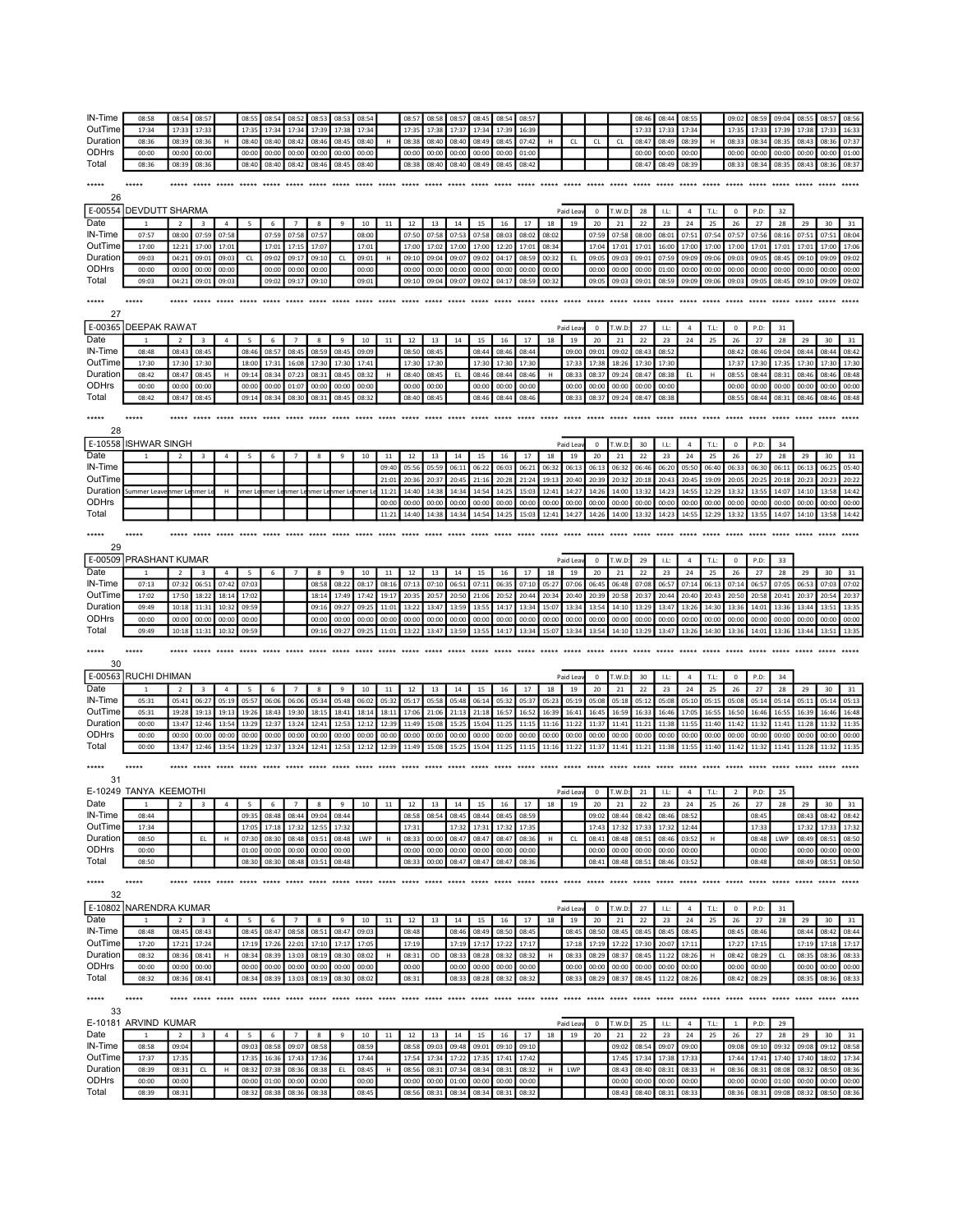| IN-Time             | 08:58                  | 08:54                    | 08:57                   |                | 08:55                         | 08:54             | 08:52           | 08:53                  | 08:53              | 08:54          |                   | 08:57                 | 08:58          | 08:57                         | 08:45          | 08:54          | 08:57                    |       |           |             |                | 08:46          | 08:44          | 08:55          |       | 09:02          | 08:59                | 09:04 | 08:55          | 08:57          | 08:56          |
|---------------------|------------------------|--------------------------|-------------------------|----------------|-------------------------------|-------------------|-----------------|------------------------|--------------------|----------------|-------------------|-----------------------|----------------|-------------------------------|----------------|----------------|--------------------------|-------|-----------|-------------|----------------|----------------|----------------|----------------|-------|----------------|----------------------|-------|----------------|----------------|----------------|
| OutTime             | 17:34                  | 17:33                    | 17:32                   |                | 17:3!                         | 17:3              | 17:34           | 17:39                  | 17:31              | 17:34          |                   | 17:3                  | 17:38          | 17:37                         | 17:34          | 17:39          | 16:39                    |       |           |             |                | 17:3           | 17:33          | 17:34          |       | 17:3'          | 17:32                | 17:39 | 17:38          | 17:32          | 16:33          |
| Duration            | 08:36                  | 08:39                    | 08:36                   | н              | 08:40                         | 08:40             | 08:42           | 08:46                  | 08:45              | 08:40          | H                 | 08:38                 | 08:40          | 08:40                         | 08:49          | 08:45          | 07:42                    | Н.    | <b>CL</b> | <b>CL</b>   | CL             | 08:47          | 08:49          | 08:39          | H     | 08:33          | 08:34                | 08:35 | 08:43          | 08:36          |                |
|                     |                        |                          |                         |                |                               |                   |                 |                        |                    |                |                   |                       |                |                               |                |                |                          |       |           |             |                |                |                |                |       |                |                      |       |                |                | 07:37          |
| ODHrs               | 00:00                  | 00:00                    | 00:00                   |                | 00:00                         | 00:00             | 00:00           | 00:00                  | 00:00              | 00:00          |                   | 00:00                 | 00:00          | 00:00                         | 00:00          | 00:00          | 01:00                    |       |           |             |                | 00:00          | 00:00          | 00:00          |       | 00:00          | 00:00                | 00:00 | 00:00          | 00:00          | 01:00          |
| Total               | 08:36                  | 08:39                    | 08:36                   |                | 08:40                         | 08:40             | 08:42           | 08:46                  | 08:45              | 08:40          |                   | 08:38                 | 08:40          | 08:40                         | 08:49          | 08:45          | 08:42                    |       |           |             |                | 08:47          | 08:49          | 08:39          |       | 08:33          | 08:34                | 08:35 | 08:43          | 08:36          | 08:37          |
| *****               | *****                  |                          |                         |                |                               |                   |                 |                        |                    |                |                   | $****$                |                |                               |                |                |                          |       |           |             |                |                |                |                |       |                | ***** *****          |       |                |                |                |
|                     |                        |                          |                         |                |                               |                   |                 |                        |                    |                |                   |                       |                |                               |                |                |                          |       |           |             |                |                |                |                |       |                |                      |       |                |                |                |
| 26                  |                        |                          |                         |                |                               |                   |                 |                        |                    |                |                   |                       |                |                               |                |                |                          |       |           |             |                |                |                |                |       |                |                      |       |                |                |                |
| E-00554             | <b>DEVDUTT SHARMA</b>  |                          |                         |                |                               |                   |                 |                        |                    |                |                   |                       |                |                               |                |                |                          |       | Paid Lea  | $\mathbf 0$ | T.W.D          | 28             | LE:            | $\sqrt{4}$     | T.L:  | $\mathbf 0$    | P.D:                 | 32    |                |                |                |
| Date                |                        | $\overline{\phantom{a}}$ | $\mathbf{a}$            | $\overline{a}$ | -5                            | 6                 | $\overline{7}$  | $\mathbf{R}$           | $\mathbf{q}$       | 10             | 11                | 12                    | 13             | 14                            | 15             | 16             | 17                       | 18    | 19        | 20          | 21             | 22             | 23             | 24             | 25    | 26             | 27                   | 28    | 29             | 30             | 31             |
| IN-Time             | 07:57                  | 08:00                    | 07:59                   | 07:58          |                               | 07:59             | 07:58           | 07:57                  |                    | 08:00          |                   | 07:50                 | 07:58          | 07:53                         | 07:58          | 08:03          | 08:02                    | 08:02 |           | 07:59       | 07:58          | 08:00          | 08:01          | 07:51          | 07:54 | 07:57          | 07:56                | 08:16 | 07:51          | 07:51          | 08:04          |
| OutTime             | 17:00                  | 12:21                    | 17:00                   | 17:01          |                               | 17:03             | 17:15           | 17:07                  |                    | 17:01          |                   | 17:00                 | 17:02          | 17:00                         | 17:00          | 12:20          | 17:01                    | 08:34 |           | 17:04       | 17:01          | 17:01          | 16:00          | 17:00          | 17:00 | 17:00          | 17:01                | 17:01 | 17:01          | 17:00          | 17:06          |
| Duration            | 09:03                  | 04:21                    | 09:01                   | 09:03          | CL                            | 09:02             | 09:17           | 09:10                  | CL                 | 09:01          | H                 | 09:10                 | 09:04          | 09:07                         | 09:02          | 04:17          | 08:59                    | 00:32 | EL.       | 09:05       | 09:03          | 09:01          | 07:59          | 09:09          | 09:06 | 09:03          | 09:05                | 08:45 | 09:10          | 09:09          | 09:02          |
|                     |                        |                          |                         |                |                               |                   |                 |                        |                    |                |                   |                       |                |                               |                |                |                          |       |           |             |                |                |                |                |       |                |                      |       |                |                |                |
| ODHrs               | 00:00                  | 00:00                    | 00:00                   | 00:00          |                               | 00:00             | 00:00           | 00:00                  |                    | 00:00          |                   | 00:00                 | 00:00          | 00:00                         | 00:00          | 00:00          | 00:00                    | 00:00 |           | 00:00       | 00:00          | 00:00          | 01:00          | 00:00          | 00:00 | 00:00          | 00:00                | 00:00 | 00:00          | 00:00          | 00:00          |
| Total               | 09:03                  | 04:21                    | 09:01                   | 09:03          |                               | 09:02             | 09:17           | 09:10                  |                    | 09:01          |                   | 09:10                 | 09:04          | 09:07                         | 09:02          | 04:17          | 08:59                    | 00:32 |           | 09:05       | 09:03          | 09:01          | 08:59          | 09:09          | 09:06 | 09:03          | 09:05                | 08:45 | 09:10          | 09:09          | 09:02          |
| *****               | *****                  |                          |                         |                |                               |                   |                 |                        |                    |                |                   |                       |                |                               |                |                |                          |       | $******$  |             | ***** *****    |                | *****          | www.com        |       |                |                      |       |                |                |                |
|                     |                        |                          |                         |                |                               |                   |                 |                        |                    |                |                   |                       |                |                               |                |                |                          |       |           |             |                |                |                |                |       |                |                      |       |                |                |                |
| 27                  |                        |                          |                         |                |                               |                   |                 |                        |                    |                |                   |                       |                |                               |                |                |                          |       |           |             |                |                |                |                |       |                |                      |       |                |                |                |
| E-00365             | <b>DEEPAK RAWAT</b>    |                          |                         |                |                               |                   |                 |                        |                    |                |                   |                       |                |                               |                |                |                          |       | Paid Lea  | $^{\circ}$  | T.W.D          | 27             | LL:            | $\overline{4}$ | T.L:  | $^{\circ}$     | P.D:                 | 31    |                |                |                |
| Date                | $\mathbf{1}$           | $\overline{2}$           | $\overline{\mathbf{3}}$ | $\overline{4}$ | 5                             | 6                 | $\overline{7}$  | 8                      | 9                  | 10             | 11                | 12                    | 13             | 14                            | 15             | 16             | 17                       | 18    | 19        | 20          | 21             | 22             | 23             | 24             | 25    | 26             | 27                   | 28    | 29             | 30             | 31             |
| IN-Time             | 08:48                  | 08:43                    | 08:45                   |                | 08:46                         | 08:57             | 08:45           | 08:59                  | 08:45              | 09:09          |                   | 08:50                 | 08:45          |                               | 08:44          | 08:46          | 08:44                    |       | 09:00     | 09:01       | 09:02          | 08:43          | 08:52          |                |       | 08:42          | 08:46                | 09:04 | 08:44          | 08:44          | 08:42          |
| OutTime             | 17:30                  | 17:30                    | 17:30                   |                | 18:00                         | 17:33             | 16:08           | 17:30                  | 17:30              | 17:41          |                   | 17:30                 | 17:30          |                               | 17:30          | 17:30          | 17:30                    |       | 17:33     | 17:38       | 18:26          | 17:30          | 17:30          |                |       | 17:37          | 17:30                | 17:35 | 17:30          | 17:30          | 17:30          |
| Duration            | 08:42                  | 08:47                    | 08:45                   | H              | 09:14                         | 08:34             | 07:23           | 08:31                  | 08:45              | 08:32          | H                 | 08:40                 | 08:45          | EL.                           | 08:46          | 08:44          | 08:46                    | H     | 08:33     | 08:37       | 09:24          | 08:47          | 08:38          | EL.            | H     | 08:55          | 08:44                | 08:31 | 08:46          | 08:46          | 08:48          |
| ODHrs               | 00:00                  | 00:00                    | 00:00                   |                | 00:00                         | 00:00             | 01:07           | 00:00                  | 00:0               | 00:00          |                   | 00:00                 | 00:00          |                               | 00:00          | 00:00          | 00:00                    |       | 00:00     | 00:00       | 00:00          | 00:00          | 00:00          |                |       | 00:00          | 00:00                | 00:00 | 00:00          | 00:00          | 00:00          |
| Total               | 08:42                  | 08:47                    | 08:45                   |                | 09:14                         | 08:34             | 08:30           | 08:31                  | 08:45              | 08:32          |                   | 08:40                 | 08:45          |                               | 08:46          | 08:44          | 08:46                    |       | 08:33     | 08:37       | 09:24          | 08:4           | 08:38          |                |       | 08:55          | 08:44                | 08:31 | 08:46          | 08:46          | 08:48          |
|                     |                        |                          |                         |                |                               |                   |                 |                        |                    |                |                   |                       |                |                               |                |                |                          |       |           |             |                |                |                |                |       |                |                      |       |                |                |                |
| *****               |                        |                          | *****                   |                | *****                         |                   |                 |                        | *****              |                | agger agger conce |                       |                | ***** ***** *****             |                |                | added deeds deeds added. |       |           | $****$      | ***** *****    |                | $****$         |                |       |                |                      |       |                |                |                |
|                     |                        |                          |                         |                |                               |                   |                 |                        |                    |                |                   |                       |                |                               |                |                |                          |       |           |             |                |                |                |                |       |                |                      |       |                |                |                |
| 28                  |                        |                          |                         |                |                               |                   |                 |                        |                    |                |                   |                       |                |                               |                |                |                          |       |           |             |                |                |                |                |       |                |                      |       |                |                |                |
| E-10558             | <b>ISHWAR SINGH</b>    |                          |                         |                |                               |                   |                 |                        |                    |                |                   |                       |                |                               |                |                |                          |       | Paid Lea  | $^{\circ}$  | T.W.D          | 30             | LL:            | $\overline{4}$ | T.L:  | $\mathbf 0$    | P.D:                 | 34    |                |                |                |
| Date                | $\mathbf{1}$           | $\overline{2}$           | $\overline{3}$          | $\sqrt{4}$     | 5                             | 6                 | $\overline{7}$  | 8                      | $\mathbf{q}$       | 10             | 11                | 12                    | 13             | 14                            | 15             | 16             | 17                       | 18    | 19        | 20          | 21             | 22             | 23             | 24             | 25    | 26             | 27                   | 28    | 29             | 30             | 31             |
| IN-Time             |                        |                          |                         |                |                               |                   |                 |                        |                    |                | 09:40             | 05:56                 | 05:59          | 06:11                         | 06:22          | 06:03          | 06:21                    | 06:32 | 06:13     | 06:13       | 06:32          | 06:46          | 06:20          | 05:50          | 06:40 | 06:33          | 06:30                | 06:11 | 06:13          | 06:25          | 05:40          |
| OutTime             |                        |                          |                         |                |                               |                   |                 |                        |                    |                | 21:01             | 20:36                 | 20:37          | 20:45                         | 21:16          | 20:28          | 21:24                    | 19:13 | 20:40     | 20:39       | 20:32          | 20:18          | 20:43          | 20:45          | 19:09 | 20:05          | 20:25                | 20:18 | 20:23          | 20:23          | 20:22          |
| Duration            | Summer Leave           | hmer Le                  | mer l                   | н              | nmer L                        | hmer Le           | ımer Le         | nmer L                 | hmer Le            | nmer L         | 11:21             | 14:40                 | 14:38          | 14:34                         | 14:54          | 14:25          | 15:03                    | 12:41 | 14:27     | 14:26       | 14:00          | 13:32          | 14:23          | 14:55          | 12:29 | 13:32          | 13:55                | 14:07 | 14:10          | 13:58          | 14:42          |
| ODHrs               |                        |                          |                         |                |                               |                   |                 |                        |                    |                | 00:00             | 00:00                 | 00:00          | 00:00                         | 00:00          | 00:00          | 00:00                    | 00:00 | 00:00     | 00:00       | 00:00          | 00:00          | 00:00          | 00:00          | 00:00 | 00:00          | 00:00                | 00:00 | 00:00          | 00:00          | 00:00          |
| Total               |                        |                          |                         |                |                               |                   |                 |                        |                    |                | 11:21             | 14:40                 | 14:38          | 14:34                         | 14:54          | 14:25          | 15:03                    | 12:41 | 14:27     | 14:26       | 14:00          | 13:3           | 14:23          | 14:55          | 12:29 | 13:32          | 13:55                | 14:07 | 14:10          | 13:58          | 14:42          |
|                     |                        |                          |                         |                |                               |                   |                 |                        |                    |                |                   |                       |                |                               |                |                |                          |       |           |             |                |                |                |                |       |                |                      |       |                |                |                |
| *****               | *****                  |                          |                         |                | ***** ***** ***** ***** ***** |                   | *****           |                        | added added added. |                |                   |                       |                |                               |                |                |                          |       |           |             |                |                |                |                |       |                | ***** *****          |       | *****          |                |                |
| 29                  |                        |                          |                         |                |                               |                   |                 |                        |                    |                |                   |                       |                |                               |                |                |                          |       |           |             |                |                |                |                |       |                |                      |       |                |                |                |
| E-00509             | PRASHANT KUMAR         |                          |                         |                |                               |                   |                 |                        |                    |                |                   |                       |                |                               |                |                |                          |       | Paid Lea  | $\mathbf 0$ |                | 29             |                | $\overline{4}$ | T.L:  | $^{\circ}$     |                      | 33    |                |                |                |
|                     |                        |                          |                         |                |                               |                   |                 |                        |                    |                |                   |                       |                |                               |                |                |                          |       |           |             | r.w.b          |                | LL:            |                |       |                | P.D:                 |       |                |                |                |
| Date                | $\mathbf{1}$           | $\overline{2}$           | $\overline{\mathbf{3}}$ | $\overline{4}$ | - 5                           | 6                 | $\overline{7}$  | 8                      | 9                  | 10             | 11                | 12                    | 13             | 14                            | 15             | 16             | 17                       | 18    | 19        | 20          | 21             | 22             | 23             | 24             | 25    | 26             | 27                   | 28    | 29             | 30             | 31             |
| <b>IN-Time</b>      | 07:13                  | 07:32                    | 06:51                   | 07:42          | 07:03                         |                   |                 | 08:58                  | 08:22              | 08:17          | 08:16             | 07:13                 | 07:10          | 06:51                         | 07:11          | 06:35          | 07:10                    | 05:27 | 07:06     | 06:45       | 06:48          | 07:08          | 06:57          | 07:14          | 06:13 | 07:14          | 06:57                | 07:05 | 06:53          | 07:03          | 07:02          |
|                     |                        | 17:50                    | 18:22                   |                |                               |                   |                 |                        |                    |                |                   | 20:35                 | 20:57          | 20:50                         | 21:06          |                |                          |       |           | 20:39       | 20:58          | 20:37          | 20:44          | 20:40          | 20:43 | 20:50          | 20:58                | 20:41 | 20:37          | 20:54          | 20:37          |
| OutTime             | 17:02                  |                          |                         | 18:14          | 17:02                         |                   |                 | 18:14                  | 17:49              | 17:42          | 19:17             |                       |                |                               |                | 20:52          | 20:44                    | 20:34 | 20:40     |             |                |                |                |                |       |                |                      |       |                |                |                |
| Duration            | 09:49                  | 10:18                    | 11:31                   | 10:32          | 09:59                         |                   |                 | 09:16                  | 09:27              | 09:25          | 11:01             | 13:22                 | 13:47          | 13:59                         | 13:55          | 14:17          | 13:34                    | 15:07 | 13:34     | 13:54       | 14:10          | 13:29          | 13:47          | 13:26          | 14:30 | 13:36          | 14:01                | 13:36 | 13:44          | 13:51          | 13:35          |
| ODHrs               | 00:00                  | 00:00                    | 00:00                   | 00:00          | 00:00                         |                   |                 | 00:00                  | 00:0               | 00:00          | 00:00             | 00:00                 | 00:00          | 00:00                         | 00:00          | 00:00          | 00:00                    | 00:00 | 00:00     | 00:00       | 00:00          | 00:00          | 00:00          | 00:00          | 00:00 | 00:00          | 00:00                | 00:00 | 00:00          | 00:00          | 00:00          |
| Total               | 09:49                  | 10:18                    | 11:31                   | 10:3           | 09:59                         |                   |                 | 09:16                  | 09:2               | 09:25          | 11:01             | 13:2                  | 13:47          | 13:59                         | 13:55          | 14:17          | 13:34                    | 15:07 | 13:34     | 13:54       | 14:10          | 13:29          | 13:47          | 13:26          | 14:30 | 13:36          | 14:01                | 13:36 | 13:44          | 13:5           | 13:35          |
|                     |                        |                          |                         |                |                               |                   |                 |                        |                    |                |                   |                       |                |                               |                |                |                          |       |           |             |                |                |                |                |       |                |                      |       |                |                |                |
| *****               | *****                  | *****                    | *****                   | *****          |                               | ***** ***** ***** |                 | ***** *****            |                    | $*****$        | *****             |                       |                | ***** ***** ***** *****       |                |                |                          |       |           |             |                |                |                |                |       |                |                      |       |                |                |                |
| 30                  |                        |                          |                         |                |                               |                   |                 |                        |                    |                |                   |                       |                |                               |                |                |                          |       |           |             |                |                |                |                |       |                |                      |       |                |                |                |
|                     |                        |                          |                         |                |                               |                   |                 |                        |                    |                |                   |                       |                |                               |                |                |                          |       |           |             |                |                |                |                |       |                |                      |       |                |                |                |
|                     | E-00563 RUCHI DHIMAN   |                          |                         |                |                               |                   |                 |                        |                    |                |                   |                       |                |                               |                |                |                          |       | Paid Lea  | $\pmb{0}$   | T.W.D          | 30             | LL:            | $\overline{a}$ | T.L:  | $\pmb{0}$      | P.D:                 | 34    |                |                |                |
| Date                | $\mathbf{1}$           | $\overline{2}$           | $\overline{\mathbf{3}}$ | $\overline{4}$ | 5                             | 6                 | $\overline{7}$  | 8                      | 9                  | 10             | 11                | 12                    | 13             | 14                            | 15             | 16             | 17                       | 18    | 19        | 20          | 21             | 22             | 23             | 24             | 25    | 26             | 27                   | 28    | 29             | 30             | 31             |
| <b>IN-Time</b>      | 05:31                  | 05:41                    | 06:27                   | 05:19          | 05:57                         | 06:06             | 06:06           | 05:34                  | 05:48              | 06:02          | 05:32             | 05:17                 | 05:58          | 05:48                         | 06:14          | 05:32          | 05:37                    | 05:23 | 05:19     | 05:08       | 05:18          | 05:12          | 05:08          | 05:10          | 05:15 | 05:08          | 05:14                | 05:14 | 05:11          | 05:14          | 05:13          |
| OutTime             | 05:31                  | 19:28                    | 19:13                   | 19:13          | 19:26                         | 18:43             | 19:30           | 18:15                  | 18:41              | 18:14          | 18:11             | 17:06                 | 21:06          | 21:13                         | 21:18          | 16:57          | 16:52                    | 16:39 | 16:41     | 16:45       | 16:59          | 16:33          | 16:46          | 17:05          | 16:55 | 16:50          | 16:46                | 16:55 | 16:39          | 16:46          | 16:48          |
| Duration            | 00:00                  | 13:47                    | 12:46                   | 13:54          | 13:29                         | 12:3              | 13:24           | 12:41                  | 12:53              | 12:12          | 12:39             | 11:49                 | 15:08          | 15:25                         | 15:04          | 11:25          | 11:15                    | 11:16 | 11:22     | 11:37       | 11:41          | 11:21          | 11:38          | 11:55          | 11:40 | 11:42          | 11:32                | 11:41 | 11:28          | 11:32          | 11:35          |
| ODHrs               | 00:00                  | 00:00                    | 00:00                   | 00:00          | 00:00                         | 00:00             | 00:00           | 00:00                  | 00:00              | 00:00          | 00:00             | 00:00                 | 00:00          | 00:00                         | 00:00          | 00:00          | 00:00                    | 00:00 | 00:00     | 00:00       | 00:00          | 00:00          | 00:00          | 00:00          | 00:00 | 00:00          | 00:00                | 00:00 | 00:00          | 00:00          | 00:00          |
| Total               | 00:00                  | 13:47                    | 12:46                   | 13:54          | 13:29                         | 12:3              | 13:24           | 12:41                  | 12:5               | 12:12          | 12:39             | 11:49                 | 15:08          | 15:25                         | 15:04          | 11:25          | 11:1                     | 11:16 | 11:22     | 11:3        | 11:41          | 11:21          | 11:38          | 11:55          | 11:40 | 11:42          | 11:32                | 11:4  | 11:28          | 11:3           | 11:35          |
|                     |                        |                          |                         |                |                               |                   |                 |                        |                    |                |                   |                       |                |                               |                |                |                          |       |           |             |                |                |                |                |       |                |                      |       |                |                |                |
| *****               | *****                  | *****                    | *****                   | $*****$        | ***** *****                   |                   | *****           | <b>Address Address</b> |                    | *****          |                   |                       |                | ***** ***** ***** ***** ***** |                |                |                          |       |           |             |                |                |                |                |       |                | *****                | ***** | *****          |                |                |
| 31                  |                        |                          |                         |                |                               |                   |                 |                        |                    |                |                   |                       |                |                               |                |                |                          |       |           |             |                |                |                |                |       |                |                      |       |                |                |                |
|                     | E-10249 TANYA KEEMOTHI |                          |                         |                |                               |                   |                 |                        |                    |                |                   |                       |                |                               |                |                |                          |       | Paid Lea  | $\mathbf 0$ | T.W.D          | 21             | LL:            | $\overline{4}$ | T.L:  | $\overline{2}$ | P.D:                 | 25    |                |                |                |
| Date                | $\mathbf{1}$           | $\overline{2}$           | $\overline{\mathbf{3}}$ | $\overline{4}$ | 5                             | 6                 | $\overline{7}$  | 8                      | 9                  | $10\,$         | $11\,$            | 12                    | 13             | $14\,$                        | $15\,$         | 16             | 17                       | 18    | 19        | 20          | 21             | 22             | 23             | 24             | 25    | 26             | 27                   | 28    | 29             | 30             | 31             |
| IN-Time             | 08:44                  |                          |                         |                | 09:35                         | 08:48             | 08:44           | 09:04                  | 08:44              |                |                   | 08:58                 | 08:54          | 08:45                         | 08:44          | 08:45          | 08:59                    |       |           | 09:02       | 08:44          | 08:42          | 08:46          | 08:52          |       |                | 08:45                |       | 08:43          | 08:42          | 08:42          |
|                     | 17:34                  |                          |                         |                |                               |                   |                 |                        |                    |                |                   |                       |                |                               |                |                |                          |       |           | 17:43       |                |                |                | 12:44          |       |                |                      |       |                |                |                |
| OutTime<br>Duration | 08:50                  |                          | EL.                     |                | 17:05                         | 17:18             | 17:32           | 12:55                  | 17:32              |                |                   | 17:31                 | 00:00          | 17:32<br>08:47                | 17:31          | 17:32          | 17:35                    | н     |           |             | 17:32          | 17:33          | 17:32<br>08:46 |                | н     |                | 17:33                |       | 17:32          | 17:33          | 17:32          |
|                     |                        |                          |                         | H              | 07:30                         | 08:30             | 08:48           | 03:51                  | 08:48              | LWP            | H                 | 08:33                 |                |                               | 08:47          | 08:47          | 08:36                    |       | <b>CL</b> | 08:41       | 08:48          | 08:5           |                | 03:52          |       |                | 08:48                | LWP   | 08:49          | 08:51          | 08:50          |
| <b>ODHrs</b>        | 00:00                  |                          |                         |                | 01:00                         | 00:00             | 00:00           | 00:00                  | 00:00              |                |                   | 00:00                 | 00:00          | 00:00                         | 00:00          | 00:00          | 00:00                    |       |           | 00:00       | 00:00          | 00:00          | 00:00          | 00:00          |       |                | 00:00                |       | 00:00          | 00:00          | 00:00          |
| Total               | 08:50                  |                          |                         |                | 08:30                         | 08:30             | 08:48           | 03:51                  | 08:48              |                |                   | 08:33                 | 00:00          | 08:47                         | 08:47          | 08:47          | 08:36                    |       |           | 08:41       | 08:48          | 08:51          | 08:46          | 03:52          |       |                | 08:48                |       | 08:49          | 08:51          | 08:50          |
| *****               | *****                  |                          |                         |                |                               |                   |                 |                        |                    |                |                   |                       |                |                               |                |                |                          |       |           |             |                |                |                |                |       |                |                      |       |                |                | *****          |
|                     |                        |                          |                         |                |                               |                   |                 |                        |                    |                |                   |                       |                |                               |                |                |                          |       |           |             |                |                |                |                |       |                |                      |       |                |                |                |
| 32                  |                        |                          |                         |                |                               |                   |                 |                        |                    |                |                   |                       |                |                               |                |                |                          |       |           |             |                |                |                |                |       |                |                      |       |                |                |                |
|                     | E-10802 NARENDRA KUMAR |                          |                         |                |                               |                   |                 |                        |                    |                |                   |                       |                |                               |                |                |                          |       | Paid Lea  | $\pmb{0}$   | T.W.D          | 27             | LL:            | $\overline{4}$ | T.L:  | $\pmb{0}$      | P.D:                 | 31    |                |                |                |
| Date                | 1                      | $\overline{2}$           | $\overline{\mathbf{3}}$ | $\overline{4}$ | 5                             | 6                 | $7\phantom{.0}$ | 8                      | 9                  | 10             | 11                | 12                    | 13             | 14                            | 15             | 16             | 17                       | 18    | 19        | 20          | 21             | 22             | 23             | 24             | 25    | 26             | 27                   | 28    | 29             | 30             | 31             |
| IN-Time             | 08:48                  | 08:45                    | 08:43                   |                | 08:45                         | 08:47             | 08:58           | 08:51                  | 08:47              | 09:03          |                   | 08:48                 |                | 08:46                         | 08:49          | 08:50          | 08:45                    |       | 08:45     | 08:50       | 08:45          | 08:45          | 08:45          | 08:45          |       | 08:45          | 08:46                |       | 08:44          | 08:42          | 08:44          |
| OutTime             | 17:20                  | 17:21                    | 17:24                   |                | 17:19                         | 17:26             | 22:01           | 17:10                  | 17:17              | 17:05          |                   | 17:19                 |                | 17:19                         | 17:17          | 17:22          | 17:17                    |       | 17:18     | 17:19       | 17:22          | 17:30          | 20:07          | 17:11          |       | 17:27          | 17:15                |       | 17:19          | 17:18          | 17:17          |
| Duration            | 08:32                  | 08:36                    | 08:41                   | H              | 08:34                         | 08:39             | 13:03           | 08:19                  | 08:30              | 08:02          | н                 | 08:31                 | OD             | 08:33                         | 08:28          | 08:32          | 08:32                    | H     | 08:33     | 08:29       | 08:37          | 08:45          | 11:22          | 08:26          | H     | 08:42          | 08:29                | CL    | 08:35          | 08:36          | 08:33          |
| <b>ODHrs</b>        | 00:00                  | 00:00                    | 00:00                   |                | 00:00                         | 00:00             | 00:00           | 00:00                  | 00:00              | 00:00          |                   | 00:00                 |                | 00:00                         | 00:00          | 00:00          | 00:00                    |       | 00:00     | 00:00       | 00:00          | 00:00          | 00:00          | 00:00          |       | 00:00          | 00:00                |       | 00:00          | 00:00          | 00:00          |
| Total               | 08:32                  | 08:36                    | 08:41                   |                | 08:34                         | 08:39             | 13:03           | 08:19                  | 08:30              | 08:02          |                   | 08:31                 |                | 08:33                         | 08:28          | 08:32          | 08:32                    |       | 08:33     | 08:29       | 08:37          | 08:45          | 11:22          | 08:26          |       | 08:42          | 08:29                |       | 08:35          | 08:36          | 08:33          |
|                     |                        |                          |                         |                |                               |                   |                 |                        |                    |                |                   |                       |                |                               |                |                |                          |       |           |             |                |                |                |                |       |                |                      |       |                |                |                |
| *****               | *****                  |                          |                         |                |                               |                   |                 |                        |                    |                |                   |                       |                |                               |                |                |                          |       |           |             |                |                |                |                |       |                |                      |       |                |                |                |
| 33                  |                        |                          |                         |                |                               |                   |                 |                        |                    |                |                   |                       |                |                               |                |                |                          |       |           |             |                |                |                |                |       |                |                      |       |                |                |                |
|                     |                        |                          |                         |                |                               |                   |                 |                        |                    |                |                   |                       |                |                               |                |                |                          |       | Paid Lea  | $\mathbf 0$ |                | 25             | LL:            | $\overline{4}$ | T.L:  | $\overline{1}$ | P.D:                 | 29    |                |                |                |
|                     | E-10181 ARVIND KUMAR   |                          | $\overline{\mathbf{3}}$ |                |                               | 6                 |                 | 8                      | $\mathbf{q}$       |                |                   |                       |                |                               |                | 16             |                          |       |           |             | T.W.D:         |                |                |                |       |                |                      |       |                |                | 31             |
| Date                |                        | $\overline{2}$           |                         | $\overline{4}$ | 5                             |                   | $\overline{7}$  |                        |                    | 10             | $11\,$            | 12                    | 13             | 14                            | 15             |                | 17                       | 18    | 19        | 20          | 21             | 22             | 23             | 24             | 25    | 26             | 27                   | 28    | 29             | 30             |                |
| IN-Time             | 08:58                  | 09:04                    |                         |                | 09:03                         | 08:58             | 09:07           | 08:58                  |                    | 08:59          |                   | 08:58                 | 09:03          | 09:48                         | 09:01          | 09:10          | 09:10                    |       |           |             | 09:02          | 08:54          | 09:07          | 09:00          |       | 09:08          | 09:10                | 09:32 | 09:08          | 09:12          | 08:58          |
| OutTime             | 17:37                  | 17:35                    |                         |                | 17:35                         | 16:36             | 17:43           | 17:36                  |                    | 17:44          |                   | 17:54                 | 17:34          | 17:22                         | 17:35          | 17:41          | 17:42                    |       |           |             | 17:45          | 17:34          | 17:38          | 17:33          |       | 17:44          | 17:41                | 17:40 | 17:40          | 18:02          | 17:34          |
| Duration            | 08:39                  | 08:31                    | CL                      | н              | 08:32                         | 07:38             | 08:36           | 08:38                  | EL                 | 08:45          | н                 | 08:56                 | 08:31          | 07:34                         | 08:34          | 08:31          | 08:32                    | H     | LWP       |             | 08:43          | 08:40          | 08:31          | 08:33          | H     | 08:36          | 08:31                | 08:08 | 08:32          | 08:50          | 08:36          |
| ODHrs<br>Total      | 00:00<br>08.39         | 00:00<br>08.31           |                         |                | 00:00<br>ng-32                | 01:00<br>08:38    | 00:00<br>08:36  | 00:00<br>08.38         |                    | 00:00<br>08.45 |                   | 00:00<br><b>08.56</b> | 00:00<br>08.31 | 01:00<br>08.34                | 00:00<br>08.34 | 00:00<br>08.31 | 00:00<br>08.32           |       |           |             | 00:00<br>08:43 | 00:00<br>08.40 | 00:00<br>08.31 | 00:00<br>08.33 |       | 00:00<br>08:36 | 00:00<br>08:31 09:08 | 01:00 | 00:00<br>08.32 | 00:00<br>08:50 | 00:00<br>08:36 |